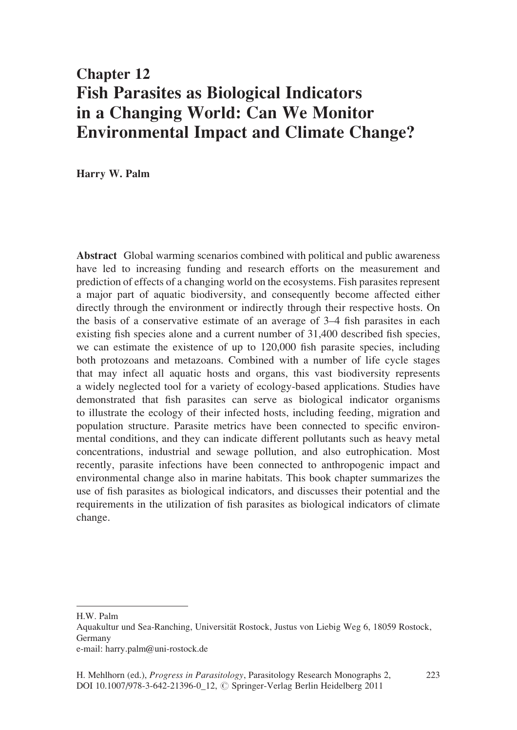# Chapter 12 Fish Parasites as Biological Indicators in a Changing World: Can We Monitor Environmental Impact and Climate Change?

Harry W. Palm

Abstract Global warming scenarios combined with political and public awareness have led to increasing funding and research efforts on the measurement and prediction of effects of a changing world on the ecosystems. Fish parasites represent a major part of aquatic biodiversity, and consequently become affected either directly through the environment or indirectly through their respective hosts. On the basis of a conservative estimate of an average of 3–4 fish parasites in each existing fish species alone and a current number of 31,400 described fish species, we can estimate the existence of up to 120,000 fish parasite species, including both protozoans and metazoans. Combined with a number of life cycle stages that may infect all aquatic hosts and organs, this vast biodiversity represents a widely neglected tool for a variety of ecology-based applications. Studies have demonstrated that fish parasites can serve as biological indicator organisms to illustrate the ecology of their infected hosts, including feeding, migration and population structure. Parasite metrics have been connected to specific environmental conditions, and they can indicate different pollutants such as heavy metal concentrations, industrial and sewage pollution, and also eutrophication. Most recently, parasite infections have been connected to anthropogenic impact and environmental change also in marine habitats. This book chapter summarizes the use of fish parasites as biological indicators, and discusses their potential and the requirements in the utilization of fish parasites as biological indicators of climate change.

H.W. Palm

Aquakultur und Sea-Ranching, Universität Rostock, Justus von Liebig Weg 6, 18059 Rostock, Germany e-mail: harry.palm@uni-rostock.de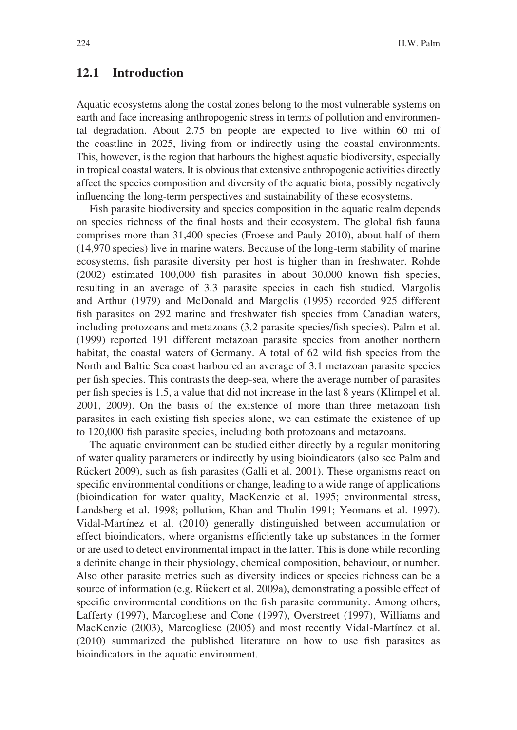#### 12.1 Introduction

Aquatic ecosystems along the costal zones belong to the most vulnerable systems on earth and face increasing anthropogenic stress in terms of pollution and environmental degradation. About 2.75 bn people are expected to live within 60 mi of the coastline in 2025, living from or indirectly using the coastal environments. This, however, is the region that harbours the highest aquatic biodiversity, especially in tropical coastal waters. It is obvious that extensive anthropogenic activities directly affect the species composition and diversity of the aquatic biota, possibly negatively influencing the long-term perspectives and sustainability of these ecosystems.

Fish parasite biodiversity and species composition in the aquatic realm depends on species richness of the final hosts and their ecosystem. The global fish fauna comprises more than 31,400 species (Froese and Pauly 2010), about half of them (14,970 species) live in marine waters. Because of the long-term stability of marine ecosystems, fish parasite diversity per host is higher than in freshwater. Rohde (2002) estimated 100,000 fish parasites in about 30,000 known fish species, resulting in an average of 3.3 parasite species in each fish studied. Margolis and Arthur (1979) and McDonald and Margolis (1995) recorded 925 different fish parasites on 292 marine and freshwater fish species from Canadian waters, including protozoans and metazoans (3.2 parasite species/fish species). Palm et al. (1999) reported 191 different metazoan parasite species from another northern habitat, the coastal waters of Germany. A total of 62 wild fish species from the North and Baltic Sea coast harboured an average of 3.1 metazoan parasite species per fish species. This contrasts the deep-sea, where the average number of parasites per fish species is 1.5, a value that did not increase in the last 8 years (Klimpel et al. 2001, 2009). On the basis of the existence of more than three metazoan fish parasites in each existing fish species alone, we can estimate the existence of up to 120,000 fish parasite species, including both protozoans and metazoans.

The aquatic environment can be studied either directly by a regular monitoring of water quality parameters or indirectly by using bioindicators (also see Palm and Rückert 2009), such as fish parasites (Galli et al. 2001). These organisms react on specific environmental conditions or change, leading to a wide range of applications (bioindication for water quality, MacKenzie et al. 1995; environmental stress, Landsberg et al. 1998; pollution, Khan and Thulin 1991; Yeomans et al. 1997). Vidal-Martínez et al. (2010) generally distinguished between accumulation or effect bioindicators, where organisms efficiently take up substances in the former or are used to detect environmental impact in the latter. This is done while recording a definite change in their physiology, chemical composition, behaviour, or number. Also other parasite metrics such as diversity indices or species richness can be a source of information (e.g. Rückert et al. 2009a), demonstrating a possible effect of specific environmental conditions on the fish parasite community. Among others, Lafferty (1997), Marcogliese and Cone (1997), Overstreet (1997), Williams and MacKenzie (2003), Marcogliese (2005) and most recently Vidal-Martínez et al. (2010) summarized the published literature on how to use fish parasites as bioindicators in the aquatic environment.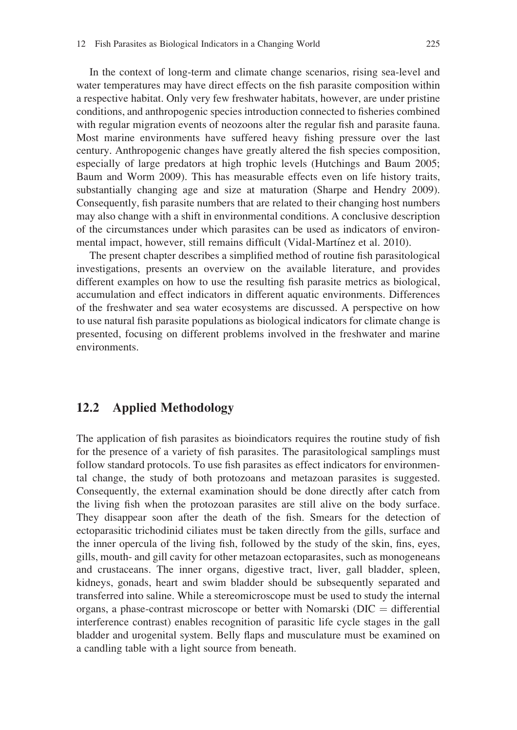In the context of long-term and climate change scenarios, rising sea-level and water temperatures may have direct effects on the fish parasite composition within a respective habitat. Only very few freshwater habitats, however, are under pristine conditions, and anthropogenic species introduction connected to fisheries combined with regular migration events of neozoons alter the regular fish and parasite fauna. Most marine environments have suffered heavy fishing pressure over the last century. Anthropogenic changes have greatly altered the fish species composition, especially of large predators at high trophic levels (Hutchings and Baum 2005; Baum and Worm 2009). This has measurable effects even on life history traits, substantially changing age and size at maturation (Sharpe and Hendry 2009). Consequently, fish parasite numbers that are related to their changing host numbers may also change with a shift in environmental conditions. A conclusive description of the circumstances under which parasites can be used as indicators of environmental impact, however, still remains difficult (Vidal-Martínez et al. 2010).

The present chapter describes a simplified method of routine fish parasitological investigations, presents an overview on the available literature, and provides different examples on how to use the resulting fish parasite metrics as biological, accumulation and effect indicators in different aquatic environments. Differences of the freshwater and sea water ecosystems are discussed. A perspective on how to use natural fish parasite populations as biological indicators for climate change is presented, focusing on different problems involved in the freshwater and marine environments.

## 12.2 Applied Methodology

The application of fish parasites as bioindicators requires the routine study of fish for the presence of a variety of fish parasites. The parasitological samplings must follow standard protocols. To use fish parasites as effect indicators for environmental change, the study of both protozoans and metazoan parasites is suggested. Consequently, the external examination should be done directly after catch from the living fish when the protozoan parasites are still alive on the body surface. They disappear soon after the death of the fish. Smears for the detection of ectoparasitic trichodinid ciliates must be taken directly from the gills, surface and the inner opercula of the living fish, followed by the study of the skin, fins, eyes, gills, mouth- and gill cavity for other metazoan ectoparasites, such as monogeneans and crustaceans. The inner organs, digestive tract, liver, gall bladder, spleen, kidneys, gonads, heart and swim bladder should be subsequently separated and transferred into saline. While a stereomicroscope must be used to study the internal organs, a phase-contrast microscope or better with Nomarski ( $DIC =$  differential interference contrast) enables recognition of parasitic life cycle stages in the gall bladder and urogenital system. Belly flaps and musculature must be examined on a candling table with a light source from beneath.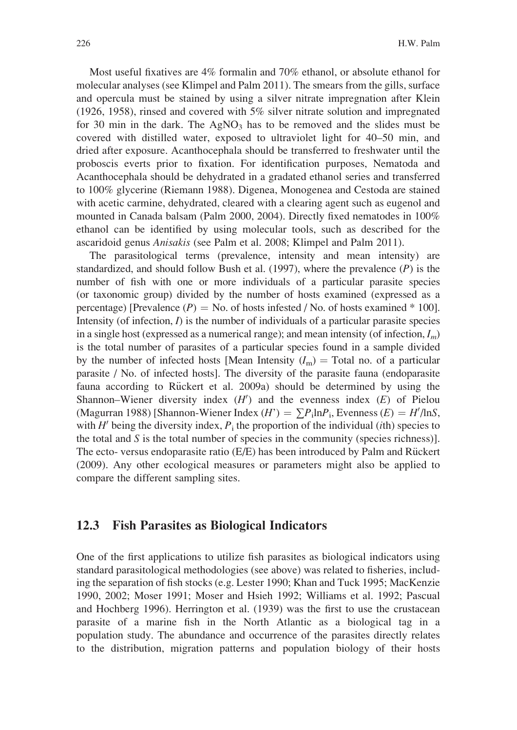Most useful fixatives are 4% formalin and 70% ethanol, or absolute ethanol for molecular analyses (see Klimpel and Palm 2011). The smears from the gills, surface and opercula must be stained by using a silver nitrate impregnation after Klein (1926, 1958), rinsed and covered with 5% silver nitrate solution and impregnated for 30 min in the dark. The  $AgNO<sub>3</sub>$  has to be removed and the slides must be covered with distilled water, exposed to ultraviolet light for 40–50 min, and dried after exposure. Acanthocephala should be transferred to freshwater until the proboscis everts prior to fixation. For identification purposes, Nematoda and Acanthocephala should be dehydrated in a gradated ethanol series and transferred to 100% glycerine (Riemann 1988). Digenea, Monogenea and Cestoda are stained with acetic carmine, dehydrated, cleared with a clearing agent such as eugenol and mounted in Canada balsam (Palm 2000, 2004). Directly fixed nematodes in 100% ethanol can be identified by using molecular tools, such as described for the ascaridoid genus Anisakis (see Palm et al. 2008; Klimpel and Palm 2011).

The parasitological terms (prevalence, intensity and mean intensity) are standardized, and should follow Bush et al. (1997), where the prevalence  $(P)$  is the number of fish with one or more individuals of a particular parasite species (or taxonomic group) divided by the number of hosts examined (expressed as a percentage) [Prevalence  $(P) =$  No. of hosts infested / No. of hosts examined  $*$  100]. Intensity (of infection,  $I$ ) is the number of individuals of a particular parasite species in a single host (expressed as a numerical range); and mean intensity (of infection,  $I_m$ ) is the total number of parasites of a particular species found in a sample divided by the number of infected hosts [Mean Intensity  $(I_m)$  = Total no. of a particular parasite / No. of infected hosts]. The diversity of the parasite fauna (endoparasite fauna according to Rückert et al. 2009a) should be determined by using the Shannon–Wiener diversity index  $(H')$  and the evenness index  $(E)$  of Pielou (Magurran 1988) [Shannon-Wiener Index (*H*') =  $\sum P_i \ln P_i$ , Evenness (*E*) = *H'*/ln*S*, with H<sup> $\prime$ </sup> being the diversity index,  $P_i$  the proportion of the individual (*i*th) species to the total and  $S$  is the total number of species in the community (species richness)]. The ecto- versus endoparasite ratio  $(E/E)$  has been introduced by Palm and Rückert (2009). Any other ecological measures or parameters might also be applied to compare the different sampling sites.

#### 12.3 Fish Parasites as Biological Indicators

One of the first applications to utilize fish parasites as biological indicators using standard parasitological methodologies (see above) was related to fisheries, including the separation of fish stocks (e.g. Lester 1990; Khan and Tuck 1995; MacKenzie 1990, 2002; Moser 1991; Moser and Hsieh 1992; Williams et al. 1992; Pascual and Hochberg 1996). Herrington et al. (1939) was the first to use the crustacean parasite of a marine fish in the North Atlantic as a biological tag in a population study. The abundance and occurrence of the parasites directly relates to the distribution, migration patterns and population biology of their hosts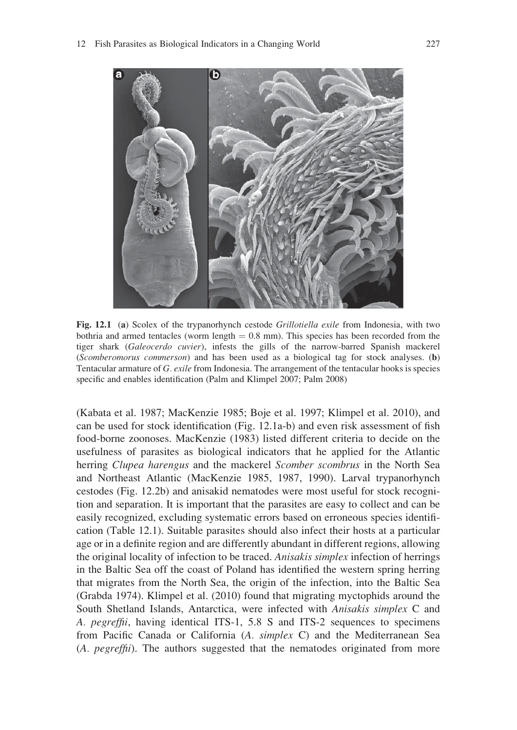

Fig. 12.1 (a) Scolex of the trypanorhynch cestode *Grillotiella exile* from Indonesia, with two bothria and armed tentacles (worm length  $= 0.8$  mm). This species has been recorded from the tiger shark (Galeocerdo cuvier), infests the gills of the narrow-barred Spanish mackerel (Scomberomorus commerson) and has been used as a biological tag for stock analyses. (b) Tentacular armature of G. exile from Indonesia. The arrangement of the tentacular hooks is species specific and enables identification (Palm and Klimpel 2007; Palm 2008)

(Kabata et al. 1987; MacKenzie 1985; Boje et al. 1997; Klimpel et al. 2010), and can be used for stock identification (Fig. 12.1a-b) and even risk assessment of fish food-borne zoonoses. MacKenzie (1983) listed different criteria to decide on the usefulness of parasites as biological indicators that he applied for the Atlantic herring Clupea harengus and the mackerel Scomber scombrus in the North Sea and Northeast Atlantic (MacKenzie 1985, 1987, 1990). Larval trypanorhynch cestodes (Fig. 12.2b) and anisakid nematodes were most useful for stock recognition and separation. It is important that the parasites are easy to collect and can be easily recognized, excluding systematic errors based on erroneous species identification (Table 12.1). Suitable parasites should also infect their hosts at a particular age or in a definite region and are differently abundant in different regions, allowing the original locality of infection to be traced. Anisakis simplex infection of herrings in the Baltic Sea off the coast of Poland has identified the western spring herring that migrates from the North Sea, the origin of the infection, into the Baltic Sea (Grabda 1974). Klimpel et al. (2010) found that migrating myctophids around the South Shetland Islands, Antarctica, were infected with Anisakis simplex C and A. pegreffii, having identical ITS-1, 5.8 S and ITS-2 sequences to specimens from Pacific Canada or California (A. simplex C) and the Mediterranean Sea (A. pegreffii). The authors suggested that the nematodes originated from more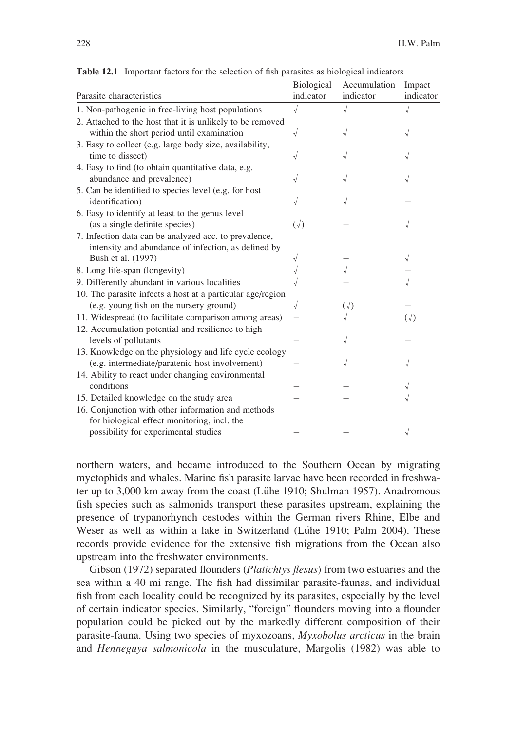| Parasite characteristics                                        | Biological<br>indicator | Accumulation<br>indicator | Impact<br>indicator |
|-----------------------------------------------------------------|-------------------------|---------------------------|---------------------|
| 1. Non-pathogenic in free-living host populations               | $\sqrt{}$               |                           |                     |
| 2. Attached to the host that it is unlikely to be removed       |                         |                           |                     |
| within the short period until examination                       |                         |                           |                     |
| 3. Easy to collect (e.g. large body size, availability,         |                         |                           |                     |
| time to dissect)                                                |                         |                           |                     |
| 4. Easy to find (to obtain quantitative data, e.g.              |                         |                           |                     |
| abundance and prevalence)                                       |                         |                           |                     |
| 5. Can be identified to species level (e.g. for host            |                         |                           |                     |
| identification)                                                 |                         |                           |                     |
| 6. Easy to identify at least to the genus level                 |                         |                           |                     |
| (as a single definite species)                                  | $(\sqrt{2})$            |                           |                     |
| 7. Infection data can be analyzed acc. to prevalence,           |                         |                           |                     |
| intensity and abundance of infection, as defined by             |                         |                           |                     |
| Bush et al. (1997)                                              |                         |                           |                     |
| 8. Long life-span (longevity)                                   |                         |                           |                     |
| 9. Differently abundant in various localities                   |                         |                           |                     |
| 10. The parasite infects a host at a particular age/region      |                         |                           |                     |
| (e.g. young fish on the nursery ground)                         |                         | $(\sqrt{2})$              |                     |
| 11. Widespread (to facilitate comparison among areas)           |                         |                           | $(\sqrt{2})$        |
| 12. Accumulation potential and resilience to high               |                         |                           |                     |
| levels of pollutants                                            |                         |                           |                     |
| 13. Knowledge on the physiology and life cycle ecology          |                         |                           |                     |
| (e.g. intermediate/paratenic host involvement)                  |                         |                           |                     |
| 14. Ability to react under changing environmental<br>conditions |                         |                           |                     |
| 15. Detailed knowledge on the study area                        |                         |                           |                     |
| 16. Conjunction with other information and methods              |                         |                           |                     |
| for biological effect monitoring, incl. the                     |                         |                           |                     |
| possibility for experimental studies                            |                         |                           |                     |
|                                                                 |                         |                           |                     |

Table 12.1 Important factors for the selection of fish parasites as biological indicators

northern waters, and became introduced to the Southern Ocean by migrating myctophids and whales. Marine fish parasite larvae have been recorded in freshwater up to 3,000 km away from the coast (Lühe 1910; Shulman 1957). Anadromous fish species such as salmonids transport these parasites upstream, explaining the presence of trypanorhynch cestodes within the German rivers Rhine, Elbe and Weser as well as within a lake in Switzerland (Lühe 1910; Palm 2004). These records provide evidence for the extensive fish migrations from the Ocean also upstream into the freshwater environments.

Gibson (1972) separated flounders (*Platichtys flesus*) from two estuaries and the sea within a 40 mi range. The fish had dissimilar parasite-faunas, and individual fish from each locality could be recognized by its parasites, especially by the level of certain indicator species. Similarly, "foreign" flounders moving into a flounder population could be picked out by the markedly different composition of their parasite-fauna. Using two species of myxozoans, Myxobolus arcticus in the brain and Henneguya salmonicola in the musculature, Margolis (1982) was able to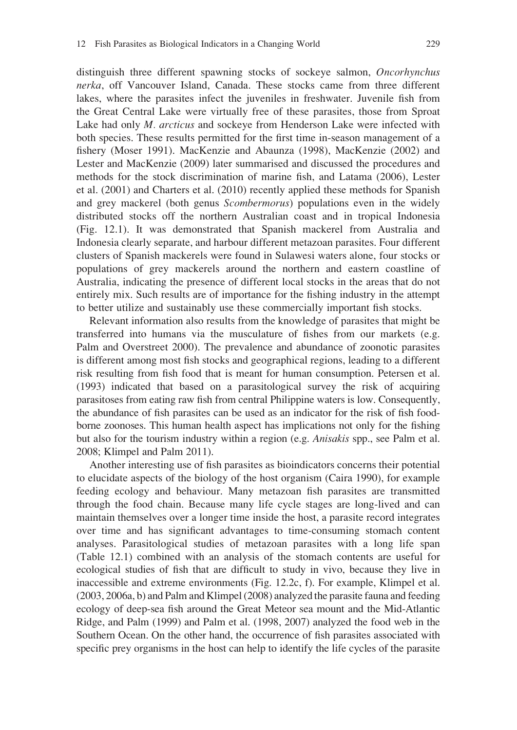distinguish three different spawning stocks of sockeye salmon, *Oncorhynchus* nerka, off Vancouver Island, Canada. These stocks came from three different lakes, where the parasites infect the juveniles in freshwater. Juvenile fish from the Great Central Lake were virtually free of these parasites, those from Sproat Lake had only M. arcticus and sockeye from Henderson Lake were infected with both species. These results permitted for the first time in-season management of a fishery (Moser 1991). MacKenzie and Abaunza (1998), MacKenzie (2002) and Lester and MacKenzie (2009) later summarised and discussed the procedures and methods for the stock discrimination of marine fish, and Latama (2006), Lester et al. (2001) and Charters et al. (2010) recently applied these methods for Spanish and grey mackerel (both genus Scombermorus) populations even in the widely distributed stocks off the northern Australian coast and in tropical Indonesia (Fig. 12.1). It was demonstrated that Spanish mackerel from Australia and Indonesia clearly separate, and harbour different metazoan parasites. Four different clusters of Spanish mackerels were found in Sulawesi waters alone, four stocks or populations of grey mackerels around the northern and eastern coastline of Australia, indicating the presence of different local stocks in the areas that do not entirely mix. Such results are of importance for the fishing industry in the attempt to better utilize and sustainably use these commercially important fish stocks.

Relevant information also results from the knowledge of parasites that might be transferred into humans via the musculature of fishes from our markets (e.g. Palm and Overstreet 2000). The prevalence and abundance of zoonotic parasites is different among most fish stocks and geographical regions, leading to a different risk resulting from fish food that is meant for human consumption. Petersen et al. (1993) indicated that based on a parasitological survey the risk of acquiring parasitoses from eating raw fish from central Philippine waters is low. Consequently, the abundance of fish parasites can be used as an indicator for the risk of fish foodborne zoonoses. This human health aspect has implications not only for the fishing but also for the tourism industry within a region (e.g. Anisakis spp., see Palm et al. 2008; Klimpel and Palm 2011).

Another interesting use of fish parasites as bioindicators concerns their potential to elucidate aspects of the biology of the host organism (Caira 1990), for example feeding ecology and behaviour. Many metazoan fish parasites are transmitted through the food chain. Because many life cycle stages are long-lived and can maintain themselves over a longer time inside the host, a parasite record integrates over time and has significant advantages to time-consuming stomach content analyses. Parasitological studies of metazoan parasites with a long life span (Table 12.1) combined with an analysis of the stomach contents are useful for ecological studies of fish that are difficult to study in vivo, because they live in inaccessible and extreme environments (Fig. 12.2c, f). For example, Klimpel et al. (2003, 2006a, b) and Palm and Klimpel (2008) analyzed the parasite fauna and feeding ecology of deep-sea fish around the Great Meteor sea mount and the Mid-Atlantic Ridge, and Palm (1999) and Palm et al. (1998, 2007) analyzed the food web in the Southern Ocean. On the other hand, the occurrence of fish parasites associated with specific prey organisms in the host can help to identify the life cycles of the parasite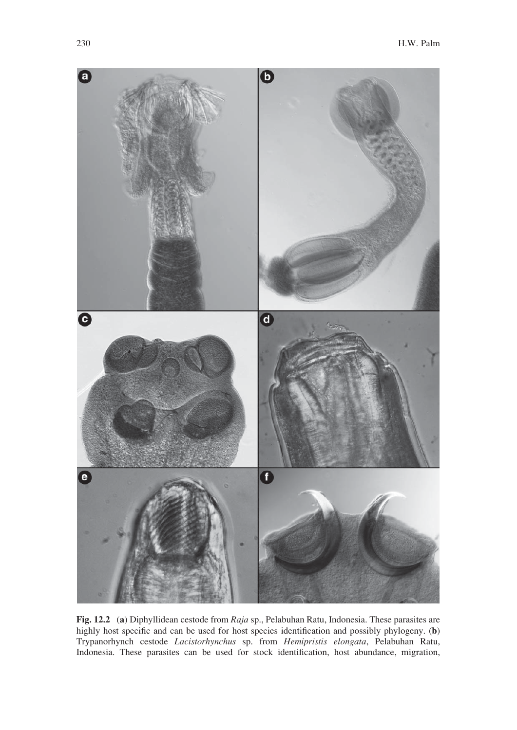

Fig. 12.2 (a) Diphyllidean cestode from Raja sp., Pelabuhan Ratu, Indonesia. These parasites are highly host specific and can be used for host species identification and possibly phylogeny. (b) Trypanorhynch cestode Lacistorhynchus sp. from Hemipristis elongata, Pelabuhan Ratu, Indonesia. These parasites can be used for stock identification, host abundance, migration,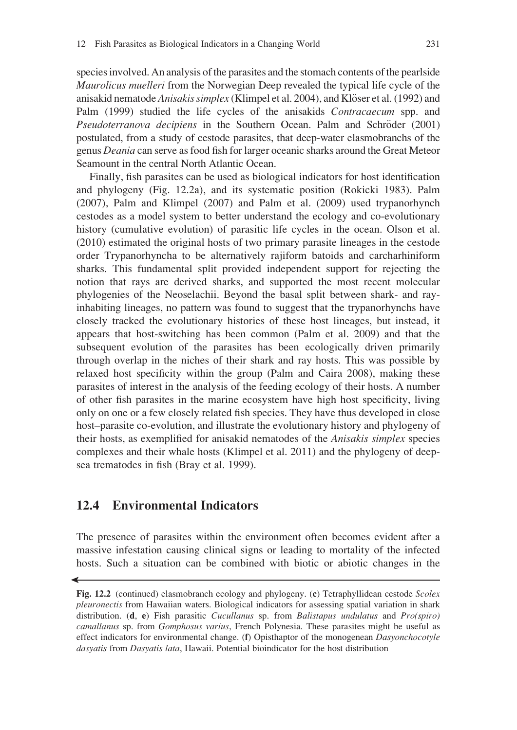species involved. An analysis of the parasites and the stomach contents of the pearlside Maurolicus muelleri from the Norwegian Deep revealed the typical life cycle of the anisakid nematode Anisakis simplex (Klimpel et al. 2004), and Klöser et al. (1992) and Palm (1999) studied the life cycles of the anisakids Contracaecum spp. and Pseudoterranova decipiens in the Southern Ocean. Palm and Schröder (2001) postulated, from a study of cestode parasites, that deep-water elasmobranchs of the genus Deania can serve as food fish for larger oceanic sharks around the Great Meteor Seamount in the central North Atlantic Ocean.

Finally, fish parasites can be used as biological indicators for host identification and phylogeny (Fig. 12.2a), and its systematic position (Rokicki 1983). Palm (2007), Palm and Klimpel (2007) and Palm et al. (2009) used trypanorhynch cestodes as a model system to better understand the ecology and co-evolutionary history (cumulative evolution) of parasitic life cycles in the ocean. Olson et al. (2010) estimated the original hosts of two primary parasite lineages in the cestode order Trypanorhyncha to be alternatively rajiform batoids and carcharhiniform sharks. This fundamental split provided independent support for rejecting the notion that rays are derived sharks, and supported the most recent molecular phylogenies of the Neoselachii. Beyond the basal split between shark- and rayinhabiting lineages, no pattern was found to suggest that the trypanorhynchs have closely tracked the evolutionary histories of these host lineages, but instead, it appears that host-switching has been common (Palm et al. 2009) and that the subsequent evolution of the parasites has been ecologically driven primarily through overlap in the niches of their shark and ray hosts. This was possible by relaxed host specificity within the group (Palm and Caira 2008), making these parasites of interest in the analysis of the feeding ecology of their hosts. A number of other fish parasites in the marine ecosystem have high host specificity, living only on one or a few closely related fish species. They have thus developed in close host–parasite co-evolution, and illustrate the evolutionary history and phylogeny of their hosts, as exemplified for anisakid nematodes of the Anisakis simplex species complexes and their whale hosts (Klimpel et al. 2011) and the phylogeny of deepsea trematodes in fish (Bray et al. 1999).

## 12.4 Environmental Indicators

 $\blacktriangleleft$ 

The presence of parasites within the environment often becomes evident after a massive infestation causing clinical signs or leading to mortality of the infected hosts. Such a situation can be combined with biotic or abiotic changes in the

Fig. 12.2 (continued) elasmobranch ecology and phylogeny. (c) Tetraphyllidean cestode *Scolex* pleuronectis from Hawaiian waters. Biological indicators for assessing spatial variation in shark distribution. (d, e) Fish parasitic *Cucullanus* sp. from *Balistapus undulatus* and  $Pro(spiro)$ camallanus sp. from Gomphosus varius, French Polynesia. These parasites might be useful as effect indicators for environmental change. (f) Opisthaptor of the monogenean Dasyonchocotyle dasyatis from Dasyatis lata, Hawaii. Potential bioindicator for the host distribution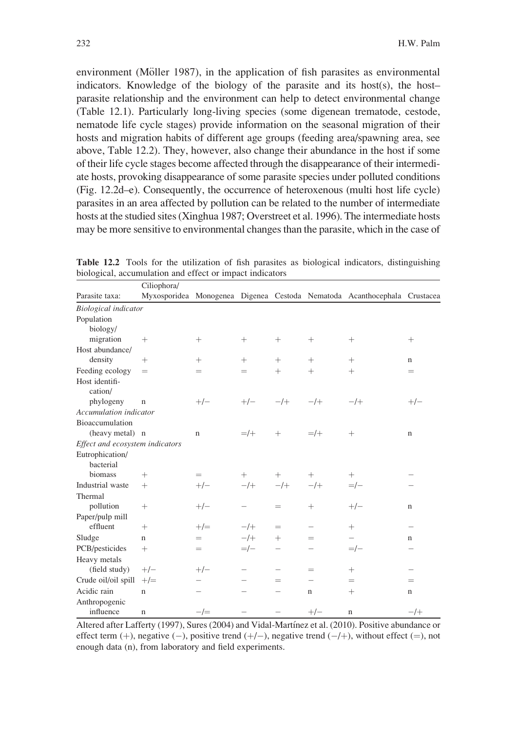environment (Möller 1987), in the application of fish parasites as environmental indicators. Knowledge of the biology of the parasite and its host(s), the hostparasite relationship and the environment can help to detect environmental change (Table 12.1). Particularly long-living species (some digenean trematode, cestode, nematode life cycle stages) provide information on the seasonal migration of their hosts and migration habits of different age groups (feeding area/spawning area, see above, Table 12.2). They, however, also change their abundance in the host if some of their life cycle stages become affected through the disappearance of their intermediate hosts, provoking disappearance of some parasite species under polluted conditions (Fig. 12.2d–e). Consequently, the occurrence of heteroxenous (multi host life cycle) parasites in an area affected by pollution can be related to the number of intermediate hosts at the studied sites (Xinghua 1987; Overstreet et al. 1996). The intermediate hosts may be more sensitive to environmental changes than the parasite, which in the case of

|                                 | Ciliophora/ |             |           |                   |             |                                                                          |             |  |
|---------------------------------|-------------|-------------|-----------|-------------------|-------------|--------------------------------------------------------------------------|-------------|--|
| Parasite taxa:                  |             |             |           |                   |             | Myxosporidea Monogenea Digenea Cestoda Nematoda Acanthocephala Crustacea |             |  |
| <b>Biological</b> indicator     |             |             |           |                   |             |                                                                          |             |  |
| Population                      |             |             |           |                   |             |                                                                          |             |  |
| biology/                        |             |             |           |                   |             |                                                                          |             |  |
| migration                       | $^{+}$      | $^{+}$      | $^{+}$    | $^{+}$            | $+$         | $^{+}$                                                                   | $^{+}$      |  |
| Host abundance/                 |             |             |           |                   |             |                                                                          |             |  |
| density                         | $+$         | $+$         | $^{+}$    | $+$               | $+$         | $+$                                                                      | n           |  |
| Feeding ecology                 | $=$         | $=$         | $=$       | $+$               | $^{+}$      | $+$                                                                      | $=$         |  |
| Host identifi-                  |             |             |           |                   |             |                                                                          |             |  |
| cation/                         |             |             |           |                   |             |                                                                          |             |  |
| phylogeny                       | $\mathbf n$ | $+/-$       | $+/-$     | $-$ /+            | $-$ /+      | $-$ /+                                                                   | $+/-$       |  |
| Accumulation indicator          |             |             |           |                   |             |                                                                          |             |  |
| Bioaccumulation                 |             |             |           |                   |             |                                                                          |             |  |
| (heavy metal) n                 |             | $\mathbf n$ | $=$ /+    | $+$               | $=$ /+      | $^{+}$                                                                   | $\mathbf n$ |  |
| Effect and ecosystem indicators |             |             |           |                   |             |                                                                          |             |  |
| Eutrophication/                 |             |             |           |                   |             |                                                                          |             |  |
| bacterial                       |             |             |           |                   |             |                                                                          |             |  |
| biomass                         | $^{+}$      | $=$         | $+$       | $+$               | $+$         | $^{+}$                                                                   |             |  |
| Industrial waste                | $+$         | $+/-$       | $-/+$     | $-/+$             | $-/+$       | $=$ / $-$                                                                |             |  |
| Thermal                         |             |             |           |                   |             |                                                                          |             |  |
| pollution                       | $+$         | $+/-$       |           | $=$               | $+$         | $+/-$                                                                    | $\mathbf n$ |  |
| Paper/pulp mill                 |             |             |           |                   |             |                                                                          |             |  |
| effluent                        | $^{+}$      | $+/-$       | $-$ /+    | $=$               |             | $+$                                                                      |             |  |
| Sludge                          | $\mathbf n$ | $=$         | $-/+$     | $+$               | $=$         |                                                                          | $\mathbf n$ |  |
| PCB/pesticides                  | $^{+}$      | $=$         | $=$ / $-$ | $\qquad \qquad -$ |             | $=$ / $-$                                                                |             |  |
| Heavy metals                    |             |             |           |                   |             |                                                                          |             |  |
| (field study)                   | $+/-$       | $+/-$       |           |                   | $=$         | $^{+}$                                                                   |             |  |
| Crude oil/oil spill             | $+/-$       |             |           | $=$               |             | $=$                                                                      | $=$         |  |
| Acidic rain                     | n           |             |           |                   | $\mathbf n$ | $^{+}$                                                                   | $\mathbf n$ |  |
| Anthropogenic                   |             |             |           |                   |             |                                                                          |             |  |
| influence                       | n           | $-\prime =$ |           |                   | $+/-$       | $\mathbf n$                                                              | $-$ /+      |  |

Table 12.2 Tools for the utilization of fish parasites as biological indicators, distinguishing biological, accumulation and effect or impact indicators

Altered after Lafferty (1997), Sures (2004) and Vidal-Martínez et al. (2010). Positive abundance or effect term  $(+)$ , negative  $(-)$ , positive trend  $(+/-)$ , negative trend  $(-/+)$ , without effect  $(=)$ , not enough data (n), from laboratory and field experiments.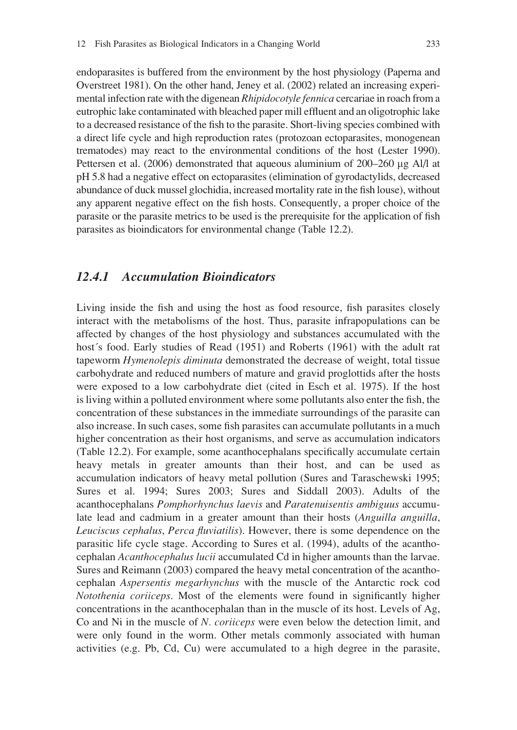endoparasites is buffered from the environment by the host physiology (Paperna and Overstreet 1981). On the other hand, Jeney et al. (2002) related an increasing experimental infection rate with the digenean Rhipidocotyle fennica cercariae in roach from a eutrophic lake contaminated with bleached paper mill effluent and an oligotrophic lake to a decreased resistance of the fish to the parasite. Short-living species combined with a direct life cycle and high reproduction rates (protozoan ectoparasites, monogenean trematodes) may react to the environmental conditions of the host (Lester 1990). Pettersen et al. (2006) demonstrated that aqueous aluminium of 200–260  $\mu$ g Al/l at pH 5.8 had a negative effect on ectoparasites (elimination of gyrodactylids, decreased abundance of duck mussel glochidia, increased mortality rate in the fish louse), without any apparent negative effect on the fish hosts. Consequently, a proper choice of the parasite or the parasite metrics to be used is the prerequisite for the application of fish parasites as bioindicators for environmental change (Table 12.2).

#### 12.4.1 Accumulation Bioindicators

Living inside the fish and using the host as food resource, fish parasites closely interact with the metabolisms of the host. Thus, parasite infrapopulations can be affected by changes of the host physiology and substances accumulated with the host´s food. Early studies of Read (1951) and Roberts (1961) with the adult rat tapeworm Hymenolepis diminuta demonstrated the decrease of weight, total tissue carbohydrate and reduced numbers of mature and gravid proglottids after the hosts were exposed to a low carbohydrate diet (cited in Esch et al. 1975). If the host is living within a polluted environment where some pollutants also enter the fish, the concentration of these substances in the immediate surroundings of the parasite can also increase. In such cases, some fish parasites can accumulate pollutants in a much higher concentration as their host organisms, and serve as accumulation indicators (Table 12.2). For example, some acanthocephalans specifically accumulate certain heavy metals in greater amounts than their host, and can be used as accumulation indicators of heavy metal pollution (Sures and Taraschewski 1995; Sures et al. 1994; Sures 2003; Sures and Siddall 2003). Adults of the acanthocephalans Pomphorhynchus laevis and Paratenuisentis ambiguus accumulate lead and cadmium in a greater amount than their hosts (Anguilla anguilla, Leuciscus cephalus, Perca fluviatilis). However, there is some dependence on the parasitic life cycle stage. According to Sures et al. (1994), adults of the acanthocephalan Acanthocephalus lucii accumulated Cd in higher amounts than the larvae. Sures and Reimann (2003) compared the heavy metal concentration of the acanthocephalan Aspersentis megarhynchus with the muscle of the Antarctic rock cod Notothenia coriiceps. Most of the elements were found in significantly higher concentrations in the acanthocephalan than in the muscle of its host. Levels of Ag, Co and Ni in the muscle of N. coriiceps were even below the detection limit, and were only found in the worm. Other metals commonly associated with human activities (e.g. Pb, Cd, Cu) were accumulated to a high degree in the parasite,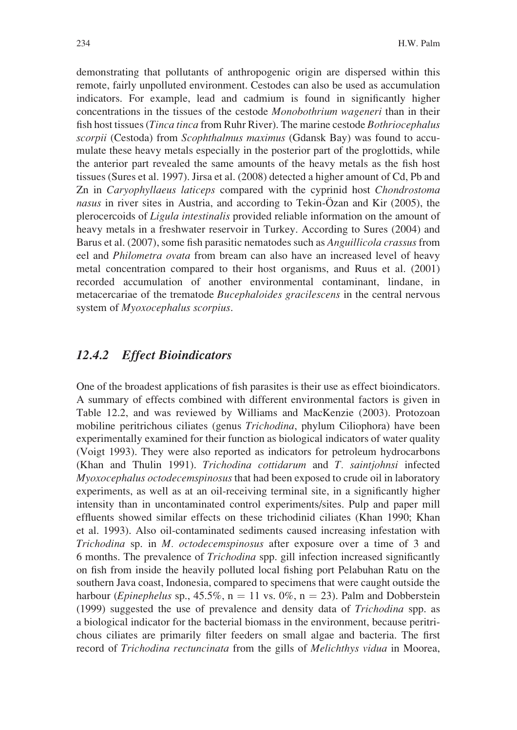demonstrating that pollutants of anthropogenic origin are dispersed within this remote, fairly unpolluted environment. Cestodes can also be used as accumulation indicators. For example, lead and cadmium is found in significantly higher concentrations in the tissues of the cestode Monobothrium wageneri than in their fish host tissues (Tinca tinca from Ruhr River). The marine cestode Bothriocephalus scorpii (Cestoda) from Scophthalmus maximus (Gdansk Bay) was found to accumulate these heavy metals especially in the posterior part of the proglottids, while the anterior part revealed the same amounts of the heavy metals as the fish host tissues (Sures et al. 1997). Jirsa et al. (2008) detected a higher amount of Cd, Pb and Zn in Caryophyllaeus laticeps compared with the cyprinid host Chondrostoma nasus in river sites in Austria, and according to Tekin-Özan and Kir  $(2005)$ , the plerocercoids of Ligula intestinalis provided reliable information on the amount of heavy metals in a freshwater reservoir in Turkey. According to Sures (2004) and Barus et al. (2007), some fish parasitic nematodes such as Anguillicola crassus from eel and Philometra ovata from bream can also have an increased level of heavy metal concentration compared to their host organisms, and Ruus et al. (2001) recorded accumulation of another environmental contaminant, lindane, in metacercariae of the trematode Bucephaloides gracilescens in the central nervous system of Myoxocephalus scorpius.

## 12.4.2 Effect Bioindicators

One of the broadest applications of fish parasites is their use as effect bioindicators. A summary of effects combined with different environmental factors is given in Table 12.2, and was reviewed by Williams and MacKenzie (2003). Protozoan mobiline peritrichous ciliates (genus Trichodina, phylum Ciliophora) have been experimentally examined for their function as biological indicators of water quality (Voigt 1993). They were also reported as indicators for petroleum hydrocarbons (Khan and Thulin 1991). Trichodina cottidarum and T. saintjohnsi infected Myoxocephalus octodecemspinosus that had been exposed to crude oil in laboratory experiments, as well as at an oil-receiving terminal site, in a significantly higher intensity than in uncontaminated control experiments/sites. Pulp and paper mill effluents showed similar effects on these trichodinid ciliates (Khan 1990; Khan et al. 1993). Also oil-contaminated sediments caused increasing infestation with Trichodina sp. in M. octodecemspinosus after exposure over a time of 3 and 6 months. The prevalence of Trichodina spp. gill infection increased significantly on fish from inside the heavily polluted local fishing port Pelabuhan Ratu on the southern Java coast, Indonesia, compared to specimens that were caught outside the harbour (*Epinephelus* sp., 45.5%,  $n = 11$  vs. 0%,  $n = 23$ ). Palm and Dobberstein (1999) suggested the use of prevalence and density data of Trichodina spp. as a biological indicator for the bacterial biomass in the environment, because peritrichous ciliates are primarily filter feeders on small algae and bacteria. The first record of Trichodina rectuncinata from the gills of Melichthys vidua in Moorea,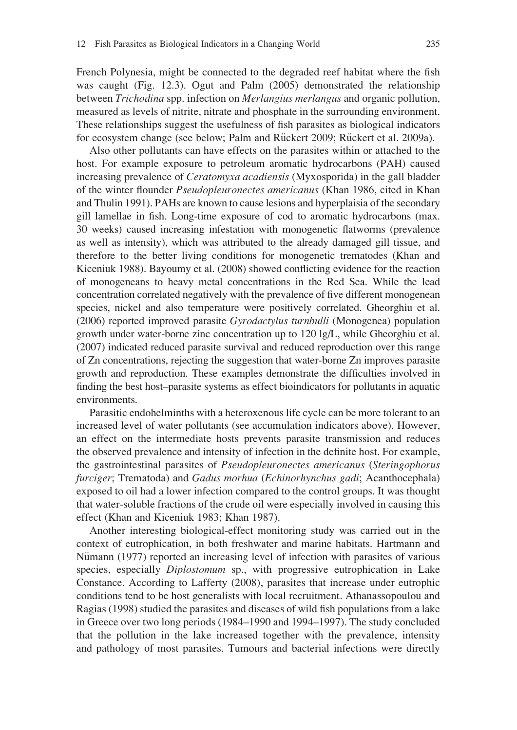French Polynesia, might be connected to the degraded reef habitat where the fish was caught (Fig. 12.3). Ogut and Palm (2005) demonstrated the relationship between Trichodina spp. infection on Merlangius merlangus and organic pollution, measured as levels of nitrite, nitrate and phosphate in the surrounding environment. These relationships suggest the usefulness of fish parasites as biological indicators for ecosystem change (see below; Palm and Rückert 2009; Rückert et al. 2009a).

Also other pollutants can have effects on the parasites within or attached to the host. For example exposure to petroleum aromatic hydrocarbons (PAH) caused increasing prevalence of Ceratomyxa acadiensis (Myxosporida) in the gall bladder of the winter flounder Pseudopleuronectes americanus (Khan 1986, cited in Khan and Thulin 1991). PAHs are known to cause lesions and hyperplaisia of the secondary gill lamellae in fish. Long-time exposure of cod to aromatic hydrocarbons (max. 30 weeks) caused increasing infestation with monogenetic flatworms (prevalence as well as intensity), which was attributed to the already damaged gill tissue, and therefore to the better living conditions for monogenetic trematodes (Khan and Kiceniuk 1988). Bayoumy et al. (2008) showed conflicting evidence for the reaction of monogeneans to heavy metal concentrations in the Red Sea. While the lead concentration correlated negatively with the prevalence of five different monogenean species, nickel and also temperature were positively correlated. Gheorghiu et al. (2006) reported improved parasite Gyrodactylus turnbulli (Monogenea) population growth under water-borne zinc concentration up to 120 lg/L, while Gheorghiu et al. (2007) indicated reduced parasite survival and reduced reproduction over this range of Zn concentrations, rejecting the suggestion that water-borne Zn improves parasite growth and reproduction. These examples demonstrate the difficulties involved in finding the best host–parasite systems as effect bioindicators for pollutants in aquatic environments.

Parasitic endohelminths with a heteroxenous life cycle can be more tolerant to an increased level of water pollutants (see accumulation indicators above). However, an effect on the intermediate hosts prevents parasite transmission and reduces the observed prevalence and intensity of infection in the definite host. For example, the gastrointestinal parasites of Pseudopleuronectes americanus (Steringophorus furciger; Trematoda) and Gadus morhua (Echinorhynchus gadi; Acanthocephala) exposed to oil had a lower infection compared to the control groups. It was thought that water-soluble fractions of the crude oil were especially involved in causing this effect (Khan and Kiceniuk 1983; Khan 1987).

Another interesting biological-effect monitoring study was carried out in the context of eutrophication, in both freshwater and marine habitats. Hartmann and Nümann (1977) reported an increasing level of infection with parasites of various species, especially *Diplostomum* sp., with progressive eutrophication in Lake Constance. According to Lafferty (2008), parasites that increase under eutrophic conditions tend to be host generalists with local recruitment. Athanassopoulou and Ragias (1998) studied the parasites and diseases of wild fish populations from a lake in Greece over two long periods (1984–1990 and 1994–1997). The study concluded that the pollution in the lake increased together with the prevalence, intensity and pathology of most parasites. Tumours and bacterial infections were directly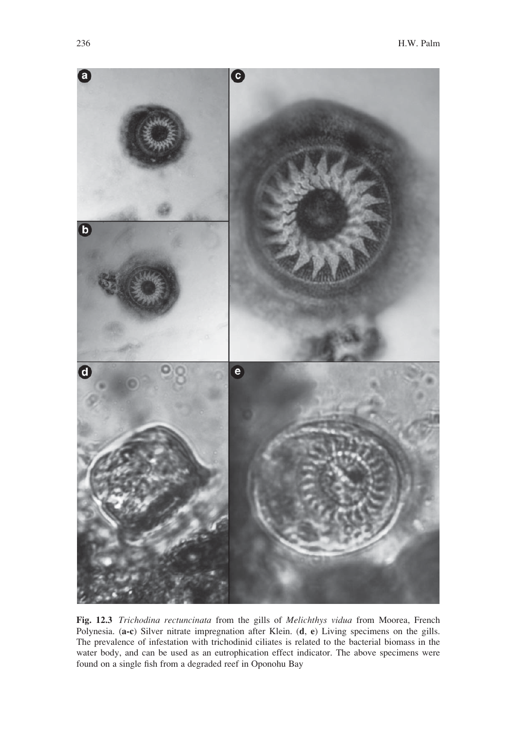

Fig. 12.3 Trichodina rectuncinata from the gills of Melichthys vidua from Moorea, French Polynesia. (a-c) Silver nitrate impregnation after Klein. (d, e) Living specimens on the gills. The prevalence of infestation with trichodinid ciliates is related to the bacterial biomass in the water body, and can be used as an eutrophication effect indicator. The above specimens were found on a single fish from a degraded reef in Oponohu Bay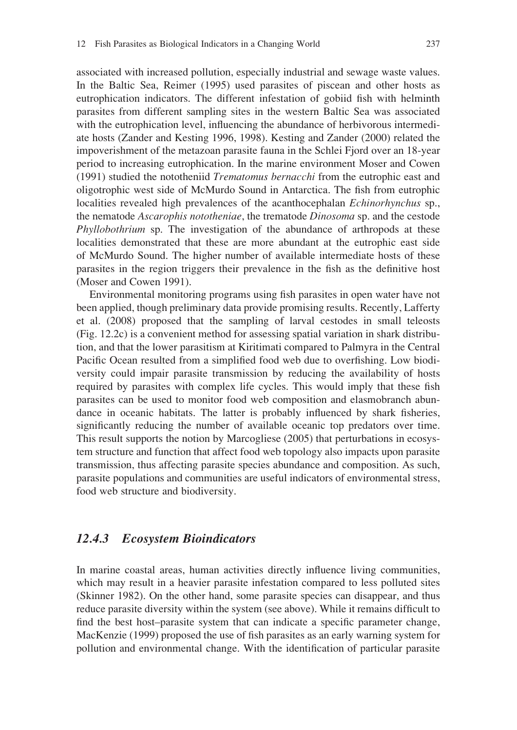associated with increased pollution, especially industrial and sewage waste values. In the Baltic Sea, Reimer (1995) used parasites of piscean and other hosts as eutrophication indicators. The different infestation of gobiid fish with helminth parasites from different sampling sites in the western Baltic Sea was associated with the eutrophication level, influencing the abundance of herbivorous intermediate hosts (Zander and Kesting 1996, 1998). Kesting and Zander (2000) related the impoverishment of the metazoan parasite fauna in the Schlei Fjord over an 18-year period to increasing eutrophication. In the marine environment Moser and Cowen (1991) studied the nototheniid Trematomus bernacchi from the eutrophic east and oligotrophic west side of McMurdo Sound in Antarctica. The fish from eutrophic localities revealed high prevalences of the acanthocephalan Echinorhynchus sp., the nematode Ascarophis nototheniae, the trematode Dinosoma sp. and the cestode Phyllobothrium sp. The investigation of the abundance of arthropods at these localities demonstrated that these are more abundant at the eutrophic east side of McMurdo Sound. The higher number of available intermediate hosts of these parasites in the region triggers their prevalence in the fish as the definitive host (Moser and Cowen 1991).

Environmental monitoring programs using fish parasites in open water have not been applied, though preliminary data provide promising results. Recently, Lafferty et al. (2008) proposed that the sampling of larval cestodes in small teleosts (Fig. 12.2c) is a convenient method for assessing spatial variation in shark distribution, and that the lower parasitism at Kiritimati compared to Palmyra in the Central Pacific Ocean resulted from a simplified food web due to overfishing. Low biodiversity could impair parasite transmission by reducing the availability of hosts required by parasites with complex life cycles. This would imply that these fish parasites can be used to monitor food web composition and elasmobranch abundance in oceanic habitats. The latter is probably influenced by shark fisheries, significantly reducing the number of available oceanic top predators over time. This result supports the notion by Marcogliese (2005) that perturbations in ecosystem structure and function that affect food web topology also impacts upon parasite transmission, thus affecting parasite species abundance and composition. As such, parasite populations and communities are useful indicators of environmental stress, food web structure and biodiversity.

#### 12.4.3 Ecosystem Bioindicators

In marine coastal areas, human activities directly influence living communities, which may result in a heavier parasite infestation compared to less polluted sites (Skinner 1982). On the other hand, some parasite species can disappear, and thus reduce parasite diversity within the system (see above). While it remains difficult to find the best host–parasite system that can indicate a specific parameter change, MacKenzie (1999) proposed the use of fish parasites as an early warning system for pollution and environmental change. With the identification of particular parasite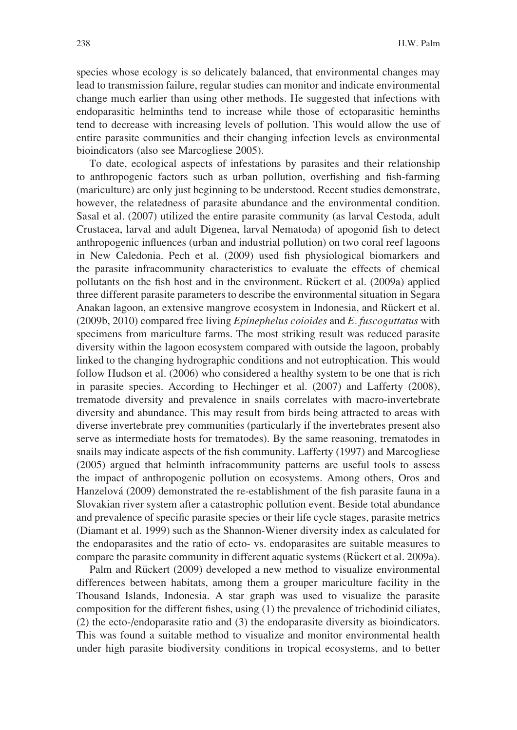species whose ecology is so delicately balanced, that environmental changes may lead to transmission failure, regular studies can monitor and indicate environmental change much earlier than using other methods. He suggested that infections with endoparasitic helminths tend to increase while those of ectoparasitic heminths tend to decrease with increasing levels of pollution. This would allow the use of entire parasite communities and their changing infection levels as environmental bioindicators (also see Marcogliese 2005).

To date, ecological aspects of infestations by parasites and their relationship to anthropogenic factors such as urban pollution, overfishing and fish-farming (mariculture) are only just beginning to be understood. Recent studies demonstrate, however, the relatedness of parasite abundance and the environmental condition. Sasal et al. (2007) utilized the entire parasite community (as larval Cestoda, adult Crustacea, larval and adult Digenea, larval Nematoda) of apogonid fish to detect anthropogenic influences (urban and industrial pollution) on two coral reef lagoons in New Caledonia. Pech et al. (2009) used fish physiological biomarkers and the parasite infracommunity characteristics to evaluate the effects of chemical pollutants on the fish host and in the environment. Rückert et al. (2009a) applied three different parasite parameters to describe the environmental situation in Segara Anakan lagoon, an extensive mangrove ecosystem in Indonesia, and Rückert et al. (2009b, 2010) compared free living Epinephelus coioides and E. fuscoguttatus with specimens from mariculture farms. The most striking result was reduced parasite diversity within the lagoon ecosystem compared with outside the lagoon, probably linked to the changing hydrographic conditions and not eutrophication. This would follow Hudson et al. (2006) who considered a healthy system to be one that is rich in parasite species. According to Hechinger et al. (2007) and Lafferty (2008), trematode diversity and prevalence in snails correlates with macro-invertebrate diversity and abundance. This may result from birds being attracted to areas with diverse invertebrate prey communities (particularly if the invertebrates present also serve as intermediate hosts for trematodes). By the same reasoning, trematodes in snails may indicate aspects of the fish community. Lafferty (1997) and Marcogliese (2005) argued that helminth infracommunity patterns are useful tools to assess the impact of anthropogenic pollution on ecosystems. Among others, Oros and Hanzelová (2009) demonstrated the re-establishment of the fish parasite fauna in a Slovakian river system after a catastrophic pollution event. Beside total abundance and prevalence of specific parasite species or their life cycle stages, parasite metrics (Diamant et al. 1999) such as the Shannon-Wiener diversity index as calculated for the endoparasites and the ratio of ecto- vs. endoparasites are suitable measures to compare the parasite community in different aquatic systems (Rückert et al. 2009a).

Palm and Rückert (2009) developed a new method to visualize environmental differences between habitats, among them a grouper mariculture facility in the Thousand Islands, Indonesia. A star graph was used to visualize the parasite composition for the different fishes, using (1) the prevalence of trichodinid ciliates, (2) the ecto-/endoparasite ratio and (3) the endoparasite diversity as bioindicators. This was found a suitable method to visualize and monitor environmental health under high parasite biodiversity conditions in tropical ecosystems, and to better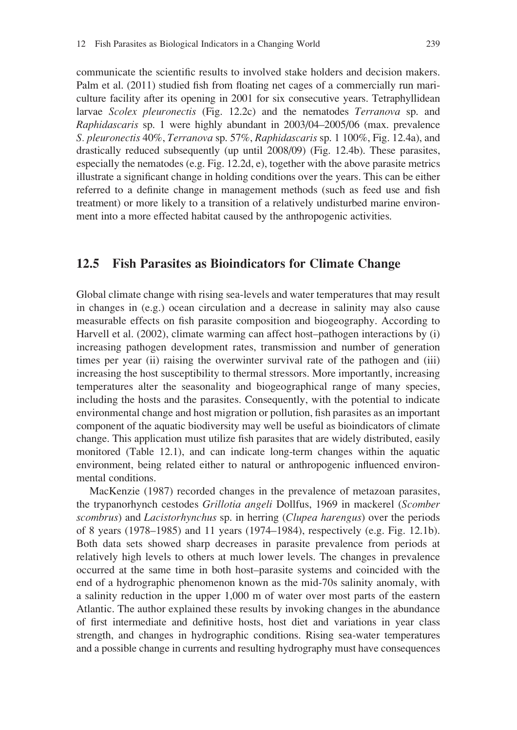communicate the scientific results to involved stake holders and decision makers. Palm et al. (2011) studied fish from floating net cages of a commercially run mariculture facility after its opening in 2001 for six consecutive years. Tetraphyllidean larvae Scolex pleuronectis (Fig. 12.2c) and the nematodes Terranova sp. and Raphidascaris sp. 1 were highly abundant in 2003/04–2005/06 (max. prevalence S. pleuronectis 40%, Terranova sp. 57%, Raphidascaris sp. 1 100%, Fig. 12.4a), and drastically reduced subsequently (up until 2008/09) (Fig. 12.4b). These parasites, especially the nematodes (e.g. Fig. 12.2d, e), together with the above parasite metrics illustrate a significant change in holding conditions over the years. This can be either referred to a definite change in management methods (such as feed use and fish treatment) or more likely to a transition of a relatively undisturbed marine environment into a more effected habitat caused by the anthropogenic activities.

## 12.5 Fish Parasites as Bioindicators for Climate Change

Global climate change with rising sea-levels and water temperatures that may result in changes in (e.g.) ocean circulation and a decrease in salinity may also cause measurable effects on fish parasite composition and biogeography. According to Harvell et al. (2002), climate warming can affect host–pathogen interactions by (i) increasing pathogen development rates, transmission and number of generation times per year (ii) raising the overwinter survival rate of the pathogen and (iii) increasing the host susceptibility to thermal stressors. More importantly, increasing temperatures alter the seasonality and biogeographical range of many species, including the hosts and the parasites. Consequently, with the potential to indicate environmental change and host migration or pollution, fish parasites as an important component of the aquatic biodiversity may well be useful as bioindicators of climate change. This application must utilize fish parasites that are widely distributed, easily monitored (Table 12.1), and can indicate long-term changes within the aquatic environment, being related either to natural or anthropogenic influenced environmental conditions.

MacKenzie (1987) recorded changes in the prevalence of metazoan parasites, the trypanorhynch cestodes Grillotia angeli Dollfus, 1969 in mackerel (Scomber scombrus) and Lacistorhynchus sp. in herring (Clupea harengus) over the periods of 8 years (1978–1985) and 11 years (1974–1984), respectively (e.g. Fig. 12.1b). Both data sets showed sharp decreases in parasite prevalence from periods at relatively high levels to others at much lower levels. The changes in prevalence occurred at the same time in both host–parasite systems and coincided with the end of a hydrographic phenomenon known as the mid-70s salinity anomaly, with a salinity reduction in the upper 1,000 m of water over most parts of the eastern Atlantic. The author explained these results by invoking changes in the abundance of first intermediate and definitive hosts, host diet and variations in year class strength, and changes in hydrographic conditions. Rising sea-water temperatures and a possible change in currents and resulting hydrography must have consequences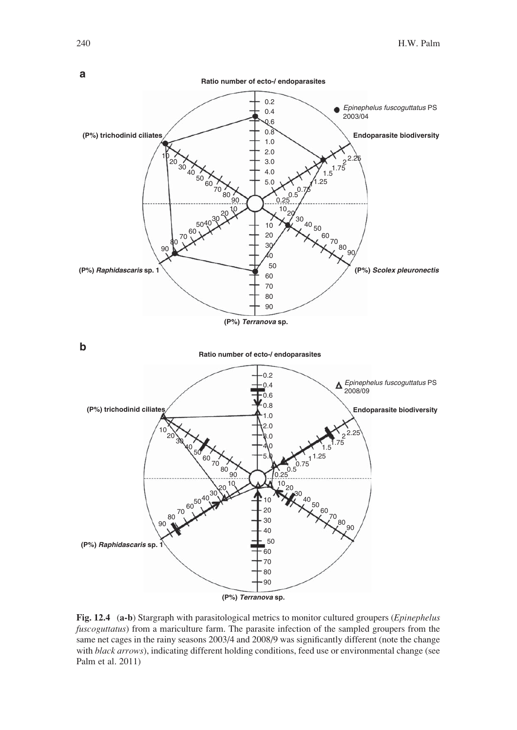

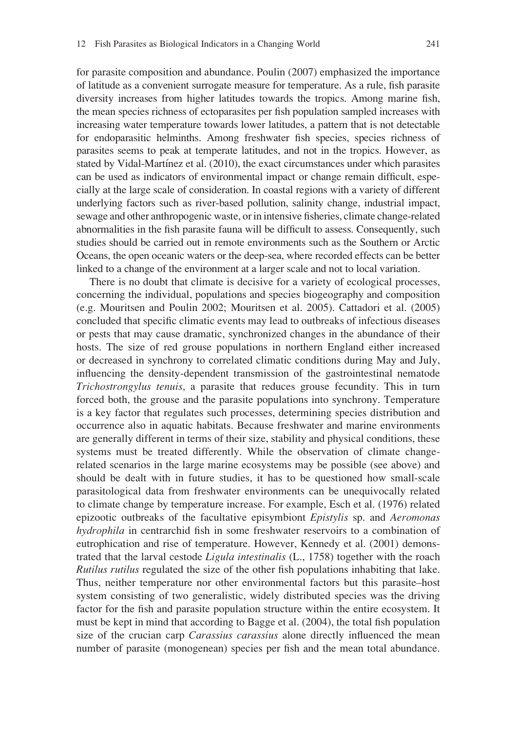for parasite composition and abundance. Poulin (2007) emphasized the importance of latitude as a convenient surrogate measure for temperature. As a rule, fish parasite diversity increases from higher latitudes towards the tropics. Among marine fish, the mean species richness of ectoparasites per fish population sampled increases with increasing water temperature towards lower latitudes, a pattern that is not detectable for endoparasitic helminths. Among freshwater fish species, species richness of parasites seems to peak at temperate latitudes, and not in the tropics. However, as stated by Vidal-Martínez et al. (2010), the exact circumstances under which parasites can be used as indicators of environmental impact or change remain difficult, especially at the large scale of consideration. In coastal regions with a variety of different underlying factors such as river-based pollution, salinity change, industrial impact, sewage and other anthropogenic waste, or in intensive fisheries, climate change-related abnormalities in the fish parasite fauna will be difficult to assess. Consequently, such studies should be carried out in remote environments such as the Southern or Arctic Oceans, the open oceanic waters or the deep-sea, where recorded effects can be better linked to a change of the environment at a larger scale and not to local variation.

There is no doubt that climate is decisive for a variety of ecological processes, concerning the individual, populations and species biogeography and composition (e.g. Mouritsen and Poulin 2002; Mouritsen et al. 2005). Cattadori et al. (2005) concluded that specific climatic events may lead to outbreaks of infectious diseases or pests that may cause dramatic, synchronized changes in the abundance of their hosts. The size of red grouse populations in northern England either increased or decreased in synchrony to correlated climatic conditions during May and July, influencing the density-dependent transmission of the gastrointestinal nematode Trichostrongylus tenuis, a parasite that reduces grouse fecundity. This in turn forced both, the grouse and the parasite populations into synchrony. Temperature is a key factor that regulates such processes, determining species distribution and occurrence also in aquatic habitats. Because freshwater and marine environments are generally different in terms of their size, stability and physical conditions, these systems must be treated differently. While the observation of climate changerelated scenarios in the large marine ecosystems may be possible (see above) and should be dealt with in future studies, it has to be questioned how small-scale parasitological data from freshwater environments can be unequivocally related to climate change by temperature increase. For example, Esch et al. (1976) related epizootic outbreaks of the facultative episymbiont Epistylis sp. and Aeromonas hydrophila in centrarchid fish in some freshwater reservoirs to a combination of eutrophication and rise of temperature. However, Kennedy et al. (2001) demonstrated that the larval cestode Ligula intestinalis (L., 1758) together with the roach Rutilus rutilus regulated the size of the other fish populations inhabiting that lake. Thus, neither temperature nor other environmental factors but this parasite–host system consisting of two generalistic, widely distributed species was the driving factor for the fish and parasite population structure within the entire ecosystem. It must be kept in mind that according to Bagge et al. (2004), the total fish population size of the crucian carp *Carassius carassius* alone directly influenced the mean number of parasite (monogenean) species per fish and the mean total abundance.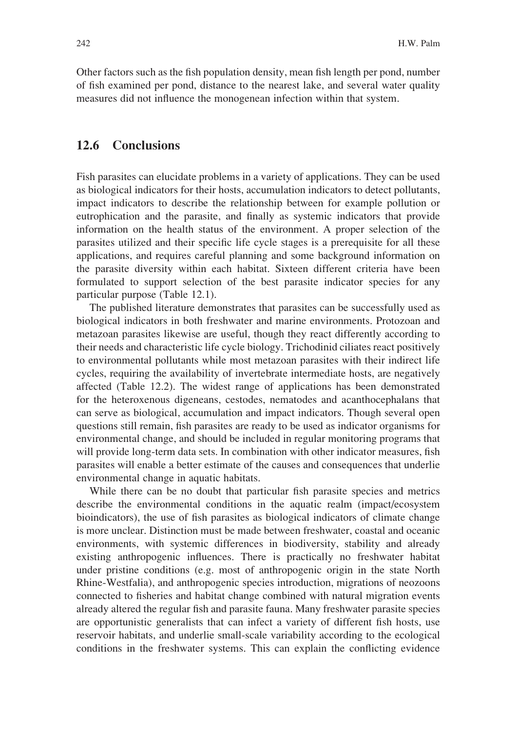Other factors such as the fish population density, mean fish length per pond, number of fish examined per pond, distance to the nearest lake, and several water quality measures did not influence the monogenean infection within that system.

## 12.6 Conclusions

Fish parasites can elucidate problems in a variety of applications. They can be used as biological indicators for their hosts, accumulation indicators to detect pollutants, impact indicators to describe the relationship between for example pollution or eutrophication and the parasite, and finally as systemic indicators that provide information on the health status of the environment. A proper selection of the parasites utilized and their specific life cycle stages is a prerequisite for all these applications, and requires careful planning and some background information on the parasite diversity within each habitat. Sixteen different criteria have been formulated to support selection of the best parasite indicator species for any particular purpose (Table 12.1).

The published literature demonstrates that parasites can be successfully used as biological indicators in both freshwater and marine environments. Protozoan and metazoan parasites likewise are useful, though they react differently according to their needs and characteristic life cycle biology. Trichodinid ciliates react positively to environmental pollutants while most metazoan parasites with their indirect life cycles, requiring the availability of invertebrate intermediate hosts, are negatively affected (Table 12.2). The widest range of applications has been demonstrated for the heteroxenous digeneans, cestodes, nematodes and acanthocephalans that can serve as biological, accumulation and impact indicators. Though several open questions still remain, fish parasites are ready to be used as indicator organisms for environmental change, and should be included in regular monitoring programs that will provide long-term data sets. In combination with other indicator measures, fish parasites will enable a better estimate of the causes and consequences that underlie environmental change in aquatic habitats.

While there can be no doubt that particular fish parasite species and metrics describe the environmental conditions in the aquatic realm (impact/ecosystem bioindicators), the use of fish parasites as biological indicators of climate change is more unclear. Distinction must be made between freshwater, coastal and oceanic environments, with systemic differences in biodiversity, stability and already existing anthropogenic influences. There is practically no freshwater habitat under pristine conditions (e.g. most of anthropogenic origin in the state North Rhine-Westfalia), and anthropogenic species introduction, migrations of neozoons connected to fisheries and habitat change combined with natural migration events already altered the regular fish and parasite fauna. Many freshwater parasite species are opportunistic generalists that can infect a variety of different fish hosts, use reservoir habitats, and underlie small-scale variability according to the ecological conditions in the freshwater systems. This can explain the conflicting evidence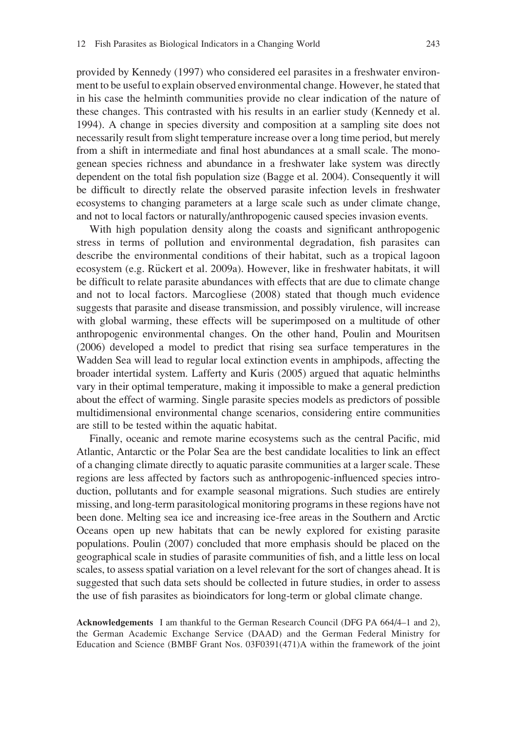provided by Kennedy (1997) who considered eel parasites in a freshwater environment to be useful to explain observed environmental change. However, he stated that in his case the helminth communities provide no clear indication of the nature of these changes. This contrasted with his results in an earlier study (Kennedy et al. 1994). A change in species diversity and composition at a sampling site does not necessarily result from slight temperature increase over a long time period, but merely from a shift in intermediate and final host abundances at a small scale. The monogenean species richness and abundance in a freshwater lake system was directly dependent on the total fish population size (Bagge et al. 2004). Consequently it will be difficult to directly relate the observed parasite infection levels in freshwater ecosystems to changing parameters at a large scale such as under climate change, and not to local factors or naturally/anthropogenic caused species invasion events.

With high population density along the coasts and significant anthropogenic stress in terms of pollution and environmental degradation, fish parasites can describe the environmental conditions of their habitat, such as a tropical lagoon ecosystem (e.g. Rückert et al. 2009a). However, like in freshwater habitats, it will be difficult to relate parasite abundances with effects that are due to climate change and not to local factors. Marcogliese (2008) stated that though much evidence suggests that parasite and disease transmission, and possibly virulence, will increase with global warming, these effects will be superimposed on a multitude of other anthropogenic environmental changes. On the other hand, Poulin and Mouritsen (2006) developed a model to predict that rising sea surface temperatures in the Wadden Sea will lead to regular local extinction events in amphipods, affecting the broader intertidal system. Lafferty and Kuris (2005) argued that aquatic helminths vary in their optimal temperature, making it impossible to make a general prediction about the effect of warming. Single parasite species models as predictors of possible multidimensional environmental change scenarios, considering entire communities are still to be tested within the aquatic habitat.

Finally, oceanic and remote marine ecosystems such as the central Pacific, mid Atlantic, Antarctic or the Polar Sea are the best candidate localities to link an effect of a changing climate directly to aquatic parasite communities at a larger scale. These regions are less affected by factors such as anthropogenic-influenced species introduction, pollutants and for example seasonal migrations. Such studies are entirely missing, and long-term parasitological monitoring programs in these regions have not been done. Melting sea ice and increasing ice-free areas in the Southern and Arctic Oceans open up new habitats that can be newly explored for existing parasite populations. Poulin (2007) concluded that more emphasis should be placed on the geographical scale in studies of parasite communities of fish, and a little less on local scales, to assess spatial variation on a level relevant for the sort of changes ahead. It is suggested that such data sets should be collected in future studies, in order to assess the use of fish parasites as bioindicators for long-term or global climate change.

Acknowledgements I am thankful to the German Research Council (DFG PA 664/4–1 and 2), the German Academic Exchange Service (DAAD) and the German Federal Ministry for Education and Science (BMBF Grant Nos. 03F0391(471)A within the framework of the joint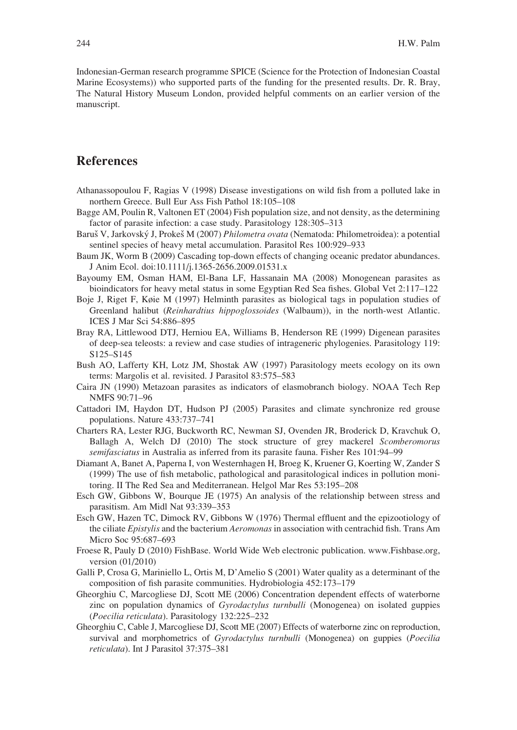Indonesian-German research programme SPICE (Science for the Protection of Indonesian Coastal Marine Ecosystems)) who supported parts of the funding for the presented results. Dr. R. Bray, The Natural History Museum London, provided helpful comments on an earlier version of the manuscript.

## References

- Athanassopoulou F, Ragias V (1998) Disease investigations on wild fish from a polluted lake in northern Greece. Bull Eur Ass Fish Pathol 18:105–108
- Bagge AM, Poulin R, Valtonen ET (2004) Fish population size, and not density, as the determining factor of parasite infection: a case study. Parasitology 128:305–313
- Baruš V, Jarkovský J, Prokeš M (2007) Philometra ovata (Nematoda: Philometroidea): a potential sentinel species of heavy metal accumulation. Parasitol Res 100:929–933
- Baum JK, Worm B (2009) Cascading top-down effects of changing oceanic predator abundances. J Anim Ecol. doi:10.1111/j.1365-2656.2009.01531.x
- Bayoumy EM, Osman HAM, El-Bana LF, Hassanain MA (2008) Monogenean parasites as bioindicators for heavy metal status in some Egyptian Red Sea fishes. Global Vet 2:117–122
- Boje J, Riget F, Køie M (1997) Helminth parasites as biological tags in population studies of Greenland halibut (Reinhardtius hippoglossoides (Walbaum)), in the north-west Atlantic. ICES J Mar Sci 54:886–895
- Bray RA, Littlewood DTJ, Herniou EA, Williams B, Henderson RE (1999) Digenean parasites of deep-sea teleosts: a review and case studies of intrageneric phylogenies. Parasitology 119: S125–S145
- Bush AO, Lafferty KH, Lotz JM, Shostak AW (1997) Parasitology meets ecology on its own terms: Margolis et al. revisited. J Parasitol 83:575–583
- Caira JN (1990) Metazoan parasites as indicators of elasmobranch biology. NOAA Tech Rep NMFS 90:71–96
- Cattadori IM, Haydon DT, Hudson PJ (2005) Parasites and climate synchronize red grouse populations. Nature 433:737–741
- Charters RA, Lester RJG, Buckworth RC, Newman SJ, Ovenden JR, Broderick D, Kravchuk O, Ballagh A, Welch DJ (2010) The stock structure of grey mackerel Scomberomorus semifasciatus in Australia as inferred from its parasite fauna. Fisher Res 101:94–99
- Diamant A, Banet A, Paperna I, von Westernhagen H, Broeg K, Kruener G, Koerting W, Zander S (1999) The use of fish metabolic, pathological and parasitological indices in pollution monitoring. II The Red Sea and Mediterranean. Helgol Mar Res 53:195–208
- Esch GW, Gibbons W, Bourque JE (1975) An analysis of the relationship between stress and parasitism. Am Midl Nat 93:339–353
- Esch GW, Hazen TC, Dimock RV, Gibbons W (1976) Thermal effluent and the epizootiology of the ciliate Epistylis and the bacterium Aeromonas in association with centrachid fish. Trans Am Micro Soc 95:687–693
- Froese R, Pauly D (2010) FishBase. World Wide Web electronic publication. www.Fishbase.org, version (01/2010)
- Galli P, Crosa G, Mariniello L, Ortis M, D'Amelio S (2001) Water quality as a determinant of the composition of fish parasite communities. Hydrobiologia 452:173–179
- Gheorghiu C, Marcogliese DJ, Scott ME (2006) Concentration dependent effects of waterborne zinc on population dynamics of Gyrodactylus turnbulli (Monogenea) on isolated guppies (Poecilia reticulata). Parasitology 132:225–232
- Gheorghiu C, Cable J, Marcogliese DJ, Scott ME (2007) Effects of waterborne zinc on reproduction, survival and morphometrics of *Gyrodactylus turnbulli* (Monogenea) on guppies (Poecilia reticulata). Int J Parasitol 37:375–381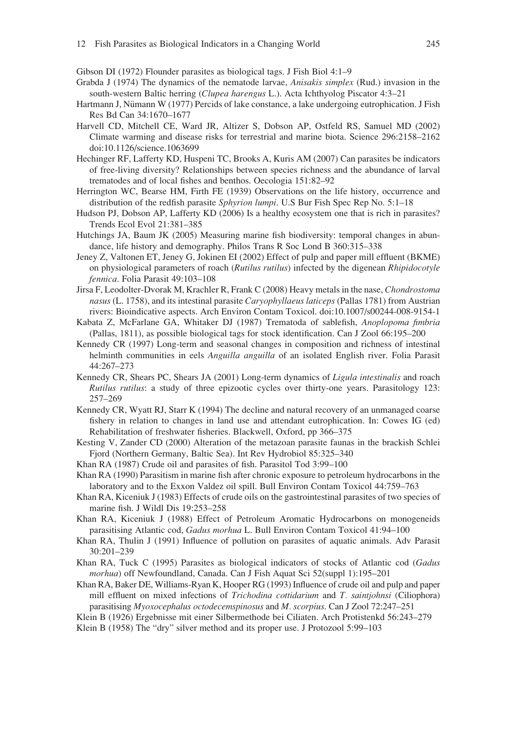Gibson DI (1972) Flounder parasites as biological tags. J Fish Biol 4:1–9

- Grabda J (1974) The dynamics of the nematode larvae, Anisakis simplex (Rud.) invasion in the south-western Baltic herring (Clupea harengus L.). Acta Ichthyolog Piscator 4:3–21
- Hartmann J, Nümann W (1977) Percids of lake constance, a lake undergoing eutrophication. J Fish Res Bd Can 34:1670–1677
- Harvell CD, Mitchell CE, Ward JR, Altizer S, Dobson AP, Ostfeld RS, Samuel MD (2002) Climate warming and disease risks for terrestrial and marine biota. Science 296:2158–2162 doi:10.1126/science.1063699
- Hechinger RF, Lafferty KD, Huspeni TC, Brooks A, Kuris AM (2007) Can parasites be indicators of free-living diversity? Relationships between species richness and the abundance of larval trematodes and of local fishes and benthos. Oecologia 151:82–92
- Herrington WC, Bearse HM, Firth FE (1939) Observations on the life history, occurrence and distribution of the redfish parasite Sphyrion lumpi. U.S Bur Fish Spec Rep No. 5:1–18
- Hudson PJ, Dobson AP, Lafferty KD (2006) Is a healthy ecosystem one that is rich in parasites? Trends Ecol Evol 21:381–385
- Hutchings JA, Baum JK (2005) Measuring marine fish biodiversity: temporal changes in abundance, life history and demography. Philos Trans R Soc Lond B 360:315–338
- Jeney Z, Valtonen ET, Jeney G, Jokinen EI (2002) Effect of pulp and paper mill effluent (BKME) on physiological parameters of roach (Rutilus rutilus) infected by the digenean Rhipidocotyle fennica. Folia Parasit 49:103–108
- Jirsa F, Leodolter-Dvorak M, Krachler R, Frank C (2008) Heavy metals in the nase, Chondrostoma nasus (L. 1758), and its intestinal parasite Caryophyllaeus laticeps (Pallas 1781) from Austrian rivers: Bioindicative aspects. Arch Environ Contam Toxicol. doi:10.1007/s00244-008-9154-1
- Kabata Z, McFarlane GA, Whitaker DJ (1987) Trematoda of sablefish, Anoplopoma fimbria (Pallas, 1811), as possible biological tags for stock identification. Can J Zool 66:195–200
- Kennedy CR (1997) Long-term and seasonal changes in composition and richness of intestinal helminth communities in eels Anguilla anguilla of an isolated English river. Folia Parasit 44:267–273
- Kennedy CR, Shears PC, Shears JA (2001) Long-term dynamics of Ligula intestinalis and roach Rutilus rutilus: a study of three epizootic cycles over thirty-one years. Parasitology 123: 257–269
- Kennedy CR, Wyatt RJ, Starr K (1994) The decline and natural recovery of an unmanaged coarse fishery in relation to changes in land use and attendant eutrophication. In: Cowes IG (ed) Rehabilitation of freshwater fisheries. Blackwell, Oxford, pp 366–375
- Kesting V, Zander CD (2000) Alteration of the metazoan parasite faunas in the brackish Schlei Fjord (Northern Germany, Baltic Sea). Int Rev Hydrobiol 85:325–340
- Khan RA (1987) Crude oil and parasites of fish. Parasitol Tod 3:99–100
- Khan RA (1990) Parasitism in marine fish after chronic exposure to petroleum hydrocarbons in the laboratory and to the Exxon Valdez oil spill. Bull Environ Contam Toxicol 44:759–763
- Khan RA, Kiceniuk J (1983) Effects of crude oils on the gastrointestinal parasites of two species of marine fish. J Wildl Dis 19:253–258
- Khan RA, Kiceniuk J (1988) Effect of Petroleum Aromatic Hydrocarbons on monogeneids parasitising Atlantic cod, Gadus morhua L. Bull Environ Contam Toxicol 41:94–100
- Khan RA, Thulin J (1991) Influence of pollution on parasites of aquatic animals. Adv Parasit 30:201–239
- Khan RA, Tuck C (1995) Parasites as biological indicators of stocks of Atlantic cod (Gadus morhua) off Newfoundland, Canada. Can J Fish Aquat Sci 52(suppl 1):195–201
- Khan RA, Baker DE, Williams-Ryan K, Hooper RG (1993) Influence of crude oil and pulp and paper mill effluent on mixed infections of Trichodina cottidarium and T. saintjohnsi (Ciliophora) parasitising Myoxocephalus octodecemspinosus and M. scorpius. Can J Zool 72:247–251

Klein B (1926) Ergebnisse mit einer Silbermethode bei Ciliaten. Arch Protistenkd 56:243–279 Klein B (1958) The "dry" silver method and its proper use. J Protozool 5:99–103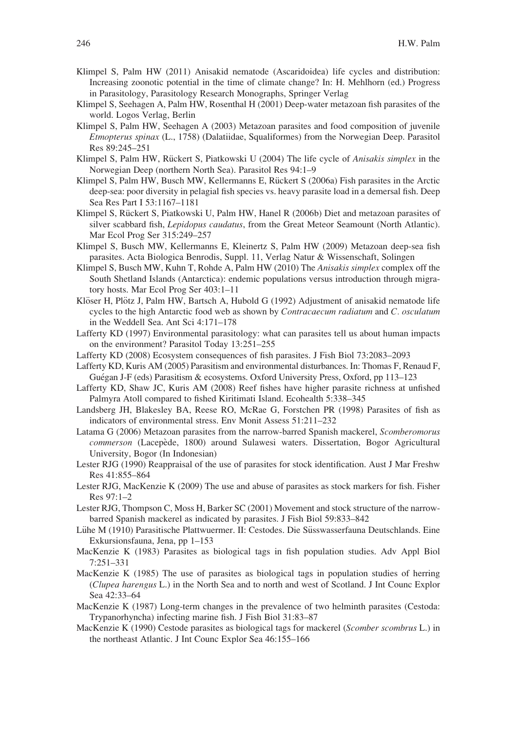- Klimpel S, Palm HW (2011) Anisakid nematode (Ascaridoidea) life cycles and distribution: Increasing zoonotic potential in the time of climate change? In: H. Mehlhorn (ed.) Progress in Parasitology, Parasitology Research Monographs, Springer Verlag
- Klimpel S, Seehagen A, Palm HW, Rosenthal H (2001) Deep-water metazoan fish parasites of the world. Logos Verlag, Berlin
- Klimpel S, Palm HW, Seehagen A (2003) Metazoan parasites and food composition of juvenile Etmopterus spinax (L., 1758) (Dalatiidae, Squaliformes) from the Norwegian Deep. Parasitol Res 89:245–251
- Klimpel S, Palm HW, Rückert S, Piatkowski U (2004) The life cycle of Anisakis simplex in the Norwegian Deep (northern North Sea). Parasitol Res 94:1–9
- Klimpel S, Palm HW, Busch MW, Kellermanns E, Rückert S (2006a) Fish parasites in the Arctic deep-sea: poor diversity in pelagial fish species vs. heavy parasite load in a demersal fish. Deep Sea Res Part I 53:1167–1181
- Klimpel S, Rückert S, Piatkowski U, Palm HW, Hanel R (2006b) Diet and metazoan parasites of silver scabbard fish, Lepidopus caudatus, from the Great Meteor Seamount (North Atlantic). Mar Ecol Prog Ser 315:249–257
- Klimpel S, Busch MW, Kellermanns E, Kleinertz S, Palm HW (2009) Metazoan deep-sea fish parasites. Acta Biologica Benrodis, Suppl. 11, Verlag Natur & Wissenschaft, Solingen
- Klimpel S, Busch MW, Kuhn T, Rohde A, Palm HW (2010) The Anisakis simplex complex off the South Shetland Islands (Antarctica): endemic populations versus introduction through migratory hosts. Mar Ecol Prog Ser 403:1–11
- Klöser H, Plötz J, Palm HW, Bartsch A, Hubold G (1992) Adjustment of anisakid nematode life cycles to the high Antarctic food web as shown by Contracaecum radiatum and C. osculatum in the Weddell Sea. Ant Sci 4:171–178
- Lafferty KD (1997) Environmental parasitology: what can parasites tell us about human impacts on the environment? Parasitol Today 13:251–255
- Lafferty KD (2008) Ecosystem consequences of fish parasites. J Fish Biol 73:2083–2093
- Lafferty KD, Kuris AM (2005) Parasitism and environmental disturbances. In: Thomas F, Renaud F, Guégan J-F (eds) Parasitism  $&$  ecosystems. Oxford University Press, Oxford, pp 113–123
- Lafferty KD, Shaw JC, Kuris AM (2008) Reef fishes have higher parasite richness at unfished Palmyra Atoll compared to fished Kiritimati Island. Ecohealth 5:338–345
- Landsberg JH, Blakesley BA, Reese RO, McRae G, Forstchen PR (1998) Parasites of fish as indicators of environmental stress. Env Monit Assess 51:211–232
- Latama G (2006) Metazoan parasites from the narrow-barred Spanish mackerel, Scomberomorus commerson (Lacepède, 1800) around Sulawesi waters. Dissertation, Bogor Agricultural University, Bogor (In Indonesian)
- Lester RJG (1990) Reappraisal of the use of parasites for stock identification. Aust J Mar Freshw Res 41:855–864
- Lester RJG, MacKenzie K (2009) The use and abuse of parasites as stock markers for fish. Fisher Res 97:1–2
- Lester RJG, Thompson C, Moss H, Barker SC (2001) Movement and stock structure of the narrowbarred Spanish mackerel as indicated by parasites. J Fish Biol 59:833–842
- Lühe M (1910) Parasitische Plattwuermer. II: Cestodes. Die Süsswasserfauna Deutschlands. Eine Exkursionsfauna, Jena, pp 1–153
- MacKenzie K (1983) Parasites as biological tags in fish population studies. Adv Appl Biol 7:251–331
- MacKenzie K (1985) The use of parasites as biological tags in population studies of herring (Clupea harengus L.) in the North Sea and to north and west of Scotland. J Int Counc Explor Sea 42:33–64
- MacKenzie K (1987) Long-term changes in the prevalence of two helminth parasites (Cestoda: Trypanorhyncha) infecting marine fish. J Fish Biol 31:83–87
- MacKenzie K (1990) Cestode parasites as biological tags for mackerel (Scomber scombrus L.) in the northeast Atlantic. J Int Counc Explor Sea 46:155–166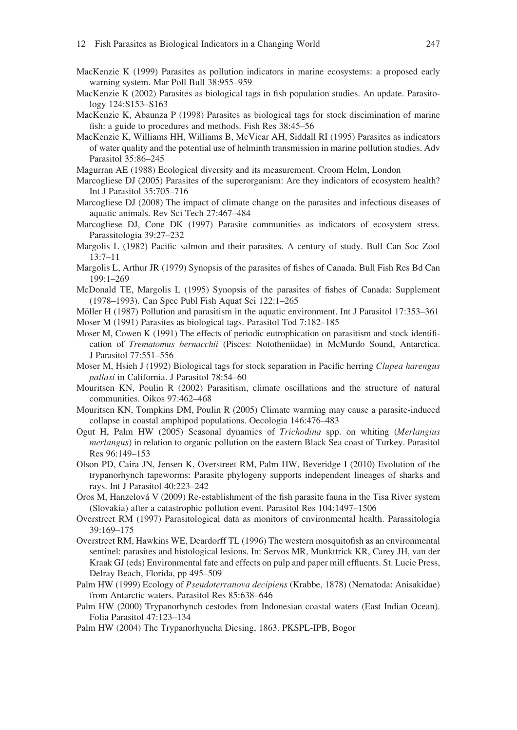- MacKenzie K (1999) Parasites as pollution indicators in marine ecosystems: a proposed early warning system. Mar Poll Bull 38:955–959
- MacKenzie K (2002) Parasites as biological tags in fish population studies. An update. Parasitology 124:S153–S163
- MacKenzie K, Abaunza P (1998) Parasites as biological tags for stock discimination of marine fish: a guide to procedures and methods. Fish Res 38:45–56
- MacKenzie K, Williams HH, Williams B, McVicar AH, Siddall RI (1995) Parasites as indicators of water quality and the potential use of helminth transmission in marine pollution studies. Adv Parasitol 35:86–245
- Magurran AE (1988) Ecological diversity and its measurement. Croom Helm, London
- Marcogliese DJ (2005) Parasites of the superorganism: Are they indicators of ecosystem health? Int J Parasitol 35:705–716
- Marcogliese DJ (2008) The impact of climate change on the parasites and infectious diseases of aquatic animals. Rev Sci Tech 27:467–484
- Marcogliese DJ, Cone DK (1997) Parasite communities as indicators of ecosystem stress. Parassitologia 39:27–232
- Margolis L (1982) Pacific salmon and their parasites. A century of study. Bull Can Soc Zool 13:7–11
- Margolis L, Arthur JR (1979) Synopsis of the parasites of fishes of Canada. Bull Fish Res Bd Can 199:1–269
- McDonald TE, Margolis L (1995) Synopsis of the parasites of fishes of Canada: Supplement (1978–1993). Can Spec Publ Fish Aquat Sci 122:1–265
- Möller H (1987) Pollution and parasitism in the aquatic environment. Int J Parasitol 17:353-361
- Moser M (1991) Parasites as biological tags. Parasitol Tod 7:182–185
- Moser M, Cowen K (1991) The effects of periodic eutrophication on parasitism and stock identification of Trematomus bernacchii (Pisces: Nototheniidae) in McMurdo Sound, Antarctica. J Parasitol 77:551–556
- Moser M, Hsieh J (1992) Biological tags for stock separation in Pacific herring Clupea harengus pallasi in California. J Parasitol 78:54–60
- Mouritsen KN, Poulin R (2002) Parasitism, climate oscillations and the structure of natural communities. Oikos 97:462–468
- Mouritsen KN, Tompkins DM, Poulin R (2005) Climate warming may cause a parasite-induced collapse in coastal amphipod populations. Oecologia 146:476–483
- Ogut H, Palm HW (2005) Seasonal dynamics of Trichodina spp. on whiting (Merlangius merlangus) in relation to organic pollution on the eastern Black Sea coast of Turkey. Parasitol Res 96:149–153
- Olson PD, Caira JN, Jensen K, Overstreet RM, Palm HW, Beveridge I (2010) Evolution of the trypanorhynch tapeworms: Parasite phylogeny supports independent lineages of sharks and rays. Int J Parasitol 40:223–242
- Oros M, Hanzelová V (2009) Re-establishment of the fish parasite fauna in the Tisa River system (Slovakia) after a catastrophic pollution event. Parasitol Res 104:1497–1506
- Overstreet RM (1997) Parasitological data as monitors of environmental health. Parassitologia 39:169–175
- Overstreet RM, Hawkins WE, Deardorff TL (1996) The western mosquitofish as an environmental sentinel: parasites and histological lesions. In: Servos MR, Munkttrick KR, Carey JH, van der Kraak GJ (eds) Environmental fate and effects on pulp and paper mill effluents. St. Lucie Press, Delray Beach, Florida, pp 495–509
- Palm HW (1999) Ecology of Pseudoterranova decipiens (Krabbe, 1878) (Nematoda: Anisakidae) from Antarctic waters. Parasitol Res 85:638–646
- Palm HW (2000) Trypanorhynch cestodes from Indonesian coastal waters (East Indian Ocean). Folia Parasitol 47:123–134
- Palm HW (2004) The Trypanorhyncha Diesing, 1863. PKSPL-IPB, Bogor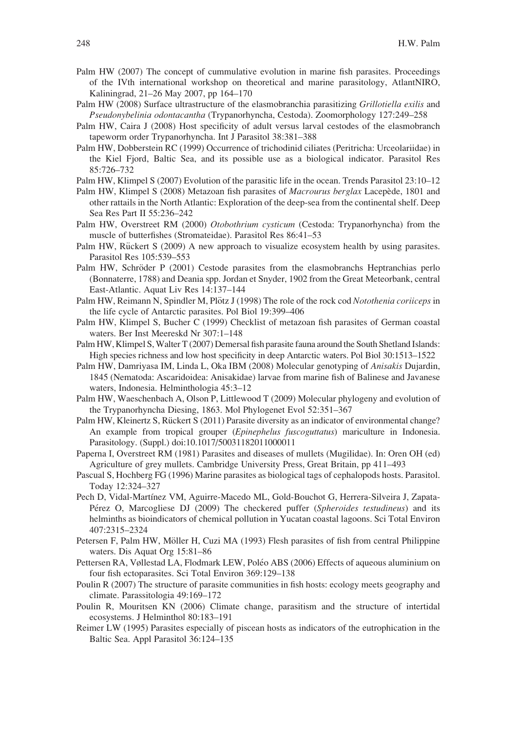- Palm HW (2007) The concept of cummulative evolution in marine fish parasites. Proceedings of the IVth international workshop on theoretical and marine parasitology, AtlantNIRO, Kaliningrad, 21–26 May 2007, pp 164–170
- Palm HW (2008) Surface ultrastructure of the elasmobranchia parasitizing *Grillotiella exilis* and Pseudonybelinia odontacantha (Trypanorhyncha, Cestoda). Zoomorphology 127:249–258
- Palm HW, Caira J (2008) Host specificity of adult versus larval cestodes of the elasmobranch tapeworm order Trypanorhyncha. Int J Parasitol 38:381–388
- Palm HW, Dobberstein RC (1999) Occurrence of trichodinid ciliates (Peritricha: Urceolariidae) in the Kiel Fjord, Baltic Sea, and its possible use as a biological indicator. Parasitol Res 85:726–732
- Palm HW, Klimpel S (2007) Evolution of the parasitic life in the ocean. Trends Parasitol 23:10–12
- Palm HW, Klimpel S (2008) Metazoan fish parasites of *Macrourus berglax* Lacepède, 1801 and other rattails in the North Atlantic: Exploration of the deep-sea from the continental shelf. Deep Sea Res Part II 55:236–242
- Palm HW, Overstreet RM (2000) Otobothrium cysticum (Cestoda: Trypanorhyncha) from the muscle of butterfishes (Stromateidae). Parasitol Res 86:41–53
- Palm HW, Rückert S (2009) A new approach to visualize ecosystem health by using parasites. Parasitol Res 105:539–553
- Palm HW, Schröder P (2001) Cestode parasites from the elasmobranchs Heptranchias perlo (Bonnaterre, 1788) and Deania spp. Jordan et Snyder, 1902 from the Great Meteorbank, central East-Atlantic. Aquat Liv Res 14:137–144
- Palm HW, Reimann N, Spindler M, Plötz J (1998) The role of the rock cod Notothenia coriiceps in the life cycle of Antarctic parasites. Pol Biol 19:399–406
- Palm HW, Klimpel S, Bucher C (1999) Checklist of metazoan fish parasites of German coastal waters. Ber Inst Meereskd Nr 307:1–148
- Palm HW, Klimpel S, Walter T (2007) Demersal fish parasite fauna around the South Shetland Islands: High species richness and low host specificity in deep Antarctic waters. Pol Biol 30:1513–1522
- Palm HW, Damriyasa IM, Linda L, Oka IBM (2008) Molecular genotyping of Anisakis Dujardin, 1845 (Nematoda: Ascaridoidea: Anisakidae) larvae from marine fish of Balinese and Javanese waters, Indonesia. Helminthologia 45:3–12
- Palm HW, Waeschenbach A, Olson P, Littlewood T (2009) Molecular phylogeny and evolution of the Trypanorhyncha Diesing, 1863. Mol Phylogenet Evol 52:351–367
- Palm HW, Kleinertz S, Rückert S (2011) Parasite diversity as an indicator of environmental change? An example from tropical grouper (Epinephelus fuscoguttatus) mariculture in Indonesia. Parasitology. (Suppl.) doi:10.1017/50031182011000011
- Paperna I, Overstreet RM (1981) Parasites and diseases of mullets (Mugilidae). In: Oren OH (ed) Agriculture of grey mullets. Cambridge University Press, Great Britain, pp 411–493
- Pascual S, Hochberg FG (1996) Marine parasites as biological tags of cephalopods hosts. Parasitol. Today 12:324–327
- Pech D, Vidal-Martínez VM, Aguirre-Macedo ML, Gold-Bouchot G, Herrera-Silveira J, Zapata-Pérez O, Marcogliese DJ (2009) The checkered puffer (Spheroides testudineus) and its helminths as bioindicators of chemical pollution in Yucatan coastal lagoons. Sci Total Environ 407:2315–2324
- Petersen F, Palm HW, Möller H, Cuzi MA (1993) Flesh parasites of fish from central Philippine waters. Dis Aquat Org 15:81–86
- Pettersen RA, Vøllestad LA, Flodmark LEW, Poléo ABS (2006) Effects of aqueous aluminium on four fish ectoparasites. Sci Total Environ 369:129–138
- Poulin R (2007) The structure of parasite communities in fish hosts: ecology meets geography and climate. Parassitologia 49:169–172
- Poulin R, Mouritsen KN (2006) Climate change, parasitism and the structure of intertidal ecosystems. J Helminthol 80:183–191
- Reimer LW (1995) Parasites especially of piscean hosts as indicators of the eutrophication in the Baltic Sea. Appl Parasitol 36:124–135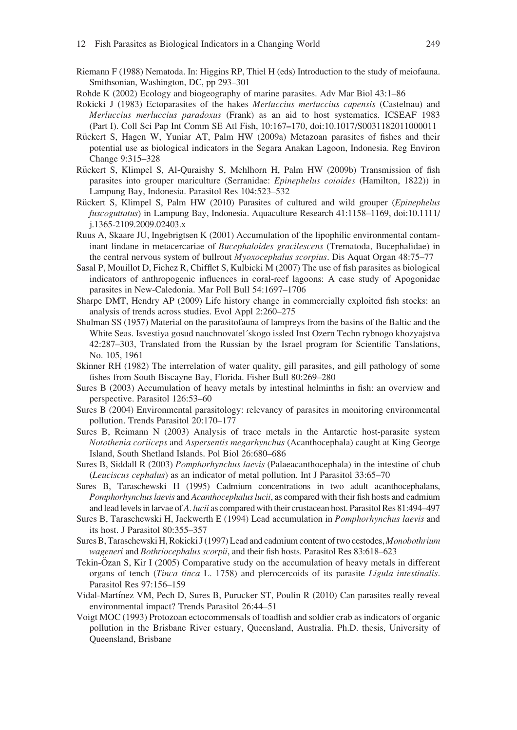- Riemann F (1988) Nematoda. In: Higgins RP, Thiel H (eds) Introduction to the study of meiofauna. Smithsonian, Washington, DC, pp 293–301
- Rohde K (2002) Ecology and biogeography of marine parasites. Adv Mar Biol 43:1–86
- Rokicki J (1983) Ectoparasites of the hakes Merluccius merluccius capensis (Castelnau) and Merluccius merluccius paradoxus (Frank) as an aid to host systematics. ICSEAF 1983 (Part I). Coll Sci Pap Int Comm SE Atl Fish, 10:167–170, doi:10.1017/S0031182011000011
- Rückert S, Hagen W, Yuniar AT, Palm HW (2009a) Metazoan parasites of fishes and their potential use as biological indicators in the Segara Anakan Lagoon, Indonesia. Reg Environ Change 9:315–328
- Rückert S, Klimpel S, Al-Quraishy S, Mehlhorn H, Palm HW (2009b) Transmission of fish parasites into grouper mariculture (Serranidae: Epinephelus coioides (Hamilton, 1822)) in Lampung Bay, Indonesia. Parasitol Res 104:523–532
- Rückert S, Klimpel S, Palm HW (2010) Parasites of cultured and wild grouper (Epinephelus fuscoguttatus) in Lampung Bay, Indonesia. Aquaculture Research 41:1158–1169, doi:10.1111/ j.1365-2109.2009.02403.x
- Ruus A, Skaare JU, Ingebrigtsen K (2001) Accumulation of the lipophilic environmental contaminant lindane in metacercariae of *Bucephaloides gracilescens* (Trematoda, Bucephalidae) in the central nervous system of bullrout Myoxocephalus scorpius. Dis Aquat Organ 48:75–77
- Sasal P, Mouillot D, Fichez R, Chifflet S, Kulbicki M (2007) The use of fish parasites as biological indicators of anthropogenic influences in coral-reef lagoons: A case study of Apogonidae parasites in New-Caledonia. Mar Poll Bull 54:1697–1706
- Sharpe DMT, Hendry AP (2009) Life history change in commercially exploited fish stocks: an analysis of trends across studies. Evol Appl 2:260–275
- Shulman SS (1957) Material on the parasitofauna of lampreys from the basins of the Baltic and the White Seas. Isvestiya gosud nauchnovatel´skogo issled Inst Ozern Techn rybnogo khozyajstva 42:287–303, Translated from the Russian by the Israel program for Scientific Tanslations, No. 105, 1961
- Skinner RH (1982) The interrelation of water quality, gill parasites, and gill pathology of some fishes from South Biscayne Bay, Florida. Fisher Bull 80:269–280
- Sures B (2003) Accumulation of heavy metals by intestinal helminths in fish: an overview and perspective. Parasitol 126:53–60
- Sures B (2004) Environmental parasitology: relevancy of parasites in monitoring environmental pollution. Trends Parasitol 20:170–177
- Sures B, Reimann N (2003) Analysis of trace metals in the Antarctic host-parasite system Notothenia coriiceps and Aspersentis megarhynchus (Acanthocephala) caught at King George Island, South Shetland Islands. Pol Biol 26:680–686
- Sures B, Siddall R (2003) Pomphorhynchus laevis (Palaeacanthocephala) in the intestine of chub (Leuciscus cephalus) as an indicator of metal pollution. Int J Parasitol 33:65–70
- Sures B, Taraschewski H (1995) Cadmium concentrations in two adult acanthocephalans, Pomphorhynchus laevis and Acanthocephalus lucii, as compared with their fish hosts and cadmium and lead levels in larvae of A. lucii as compared with their crustacean host. Parasitol Res 81:494–497
- Sures B, Taraschewski H, Jackwerth E (1994) Lead accumulation in Pomphorhynchus laevis and its host. J Parasitol 80:355–357
- Sures B, Taraschewski H, Rokicki J (1997) Lead and cadmium content of two cestodes, Monobothrium wageneri and Bothriocephalus scorpii, and their fish hosts. Parasitol Res 83:618–623
- Tekin-Ozan S, Kir I (2005) Comparative study on the accumulation of heavy metals in different organs of tench (Tinca tinca L. 1758) and plerocercoids of its parasite Ligula intestinalis. Parasitol Res 97:156–159
- Vidal-Martínez VM, Pech D, Sures B, Purucker ST, Poulin R (2010) Can parasites really reveal environmental impact? Trends Parasitol 26:44–51
- Voigt MOC (1993) Protozoan ectocommensals of toadfish and soldier crab as indicators of organic pollution in the Brisbane River estuary, Queensland, Australia. Ph.D. thesis, University of Queensland, Brisbane